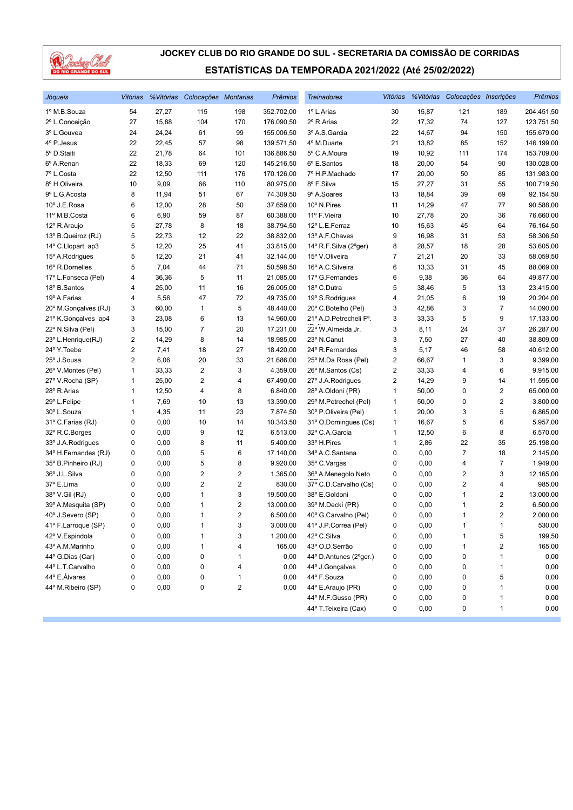

| Jóqueis                                  | Vitórias |              | % Vitórias Colocações Montarias |                     | <b>Prêmios</b>        | <b>Treinadores</b>      |                         |              | Vitórias % Vitórias Colocações Inscrições |                         | Prêmios          |
|------------------------------------------|----------|--------------|---------------------------------|---------------------|-----------------------|-------------------------|-------------------------|--------------|-------------------------------------------|-------------------------|------------------|
| 1º M.B.Souza                             | 54       | 27,27        | 115                             | 198                 | 352.702,00            | 1º L.Arias              | 30                      | 15,87        | 121                                       | 189                     | 204.451,50       |
| 2º L.Conceição                           | 27       | 15,88        | 104                             | 170                 | 176.090,50            | 2º R.Arias              | 22                      | 17,32        | 74                                        | 127                     | 123.751,50       |
| 3º L.Gouvea                              | 24       | 24,24        | 61                              | 99                  | 155.006,50            | 3º A.S. Garcia          | 22                      | 14,67        | 94                                        | 150                     | 155.679,00       |
| 4º P.Jesus                               | 22       | 22,45        | 57                              | 98                  | 139.571,50            | 4º M.Duarte             | 21                      | 13,82        | 85                                        | 152                     | 146.199,00       |
| 5º D.Staiti                              | 22       | 21,78        | 64                              | 101                 | 136.886,50            | 5° C.A.Moura            | 19                      | 10,92        | 111                                       | 174                     | 153.709,00       |
| 6º A.Renan                               | 22       | 18,33        | 69                              | 120                 | 145.216,50            | 6º E.Santos             | 18                      | 20,00        | 54                                        | 90                      | 130.028,00       |
| 7º L.Costa                               | 22       | 12,50        | 111                             | 176                 | 170.126,00            | 7º H.P.Machado          | 17                      | 20,00        | 50                                        | 85                      | 131.983,00       |
| 8º H.Oliveira                            | 10       | 9,09         | 66                              | 110                 | 80.975,00             | 8º F.Silva              | 15                      | 27,27        | 31                                        | 55                      | 100.719,50       |
| 9º L.G.Acosta                            | 8        | 11,94        | 51                              | 67                  | 74.309,50             | 9º A.Soares             | 13                      | 18,84        | 39                                        | 69                      | 92.154,50        |
| 10° J.E.Rosa                             | 6        | 12,00        | 28                              | 50                  | 37.659,00             | 10° N.Pires             | 11                      | 14,29        | 47                                        | 77                      | 90.588,00        |
| 11º M.B.Costa                            | 6        | 6,90         | 59                              | 87                  | 60.388,00             | 11º F.Vieira            | 10                      | 27,78        | 20                                        | 36                      | 76.660,00        |
| 12º R.Araujo                             | 5        | 27,78        | 8                               | 18                  | 38.794,50             | 12º L.E.Ferraz          | 10                      | 15,63        | 45                                        | 64                      | 76.164,50        |
| 13º B.Queiroz (RJ)                       | 5        | 22,73        | 12                              | 22                  | 38.832,00             | 13º A.F.Chaves          | 9                       | 16,98        | 31                                        | 53                      | 58.306,50        |
| 14° C.Llopart ap3                        | 5        | 12,20        | 25                              | 41                  | 33.815,00             | 14° R.F.Silva (2°ger)   | 8                       | 28,57        | 18                                        | 28                      | 53.605,00        |
| 15° A.Rodrigues                          | 5        | 12,20        | 21                              | 41                  | 32.144,00             | 15° V.Oliveira          | 7                       | 21,21        | 20                                        | 33                      | 58.059,50        |
| 16° R.Dornelles                          | 5        | 7,04         | 44                              | 71                  | 50.598,50             | 16º A.C.Silveira        | 6                       | 13,33        | 31                                        | 45                      | 88.069,00        |
| 17º L.Fonseca (Pel)                      | 4        | 36,36        | 5                               | 11                  | 21.085,00             | 17º G.Fernandes         | 6                       | 9,38         | 36                                        | 64                      | 49.877,00        |
| 18º B.Santos                             | 4        | 25,00        | 11                              | 16                  | 26.005,00             | 18° C.Dutra             | 5                       | 38,46        | 5                                         | 13                      | 23.415,00        |
| 19º A.Farias                             | 4        | 5,56         | 47                              | 72                  | 49.735,00             | 19° S.Rodrigues         | 4                       | 21,05        | 6                                         | 19                      | 20.204,00        |
| 20° M.Gonçalves (RJ)                     | 3        | 60,00        | $\mathbf{1}$                    | 5                   | 48.440,00             | 20° C.Botelho (Pel)     | 3                       | 42,86        | 3                                         | $\overline{7}$          | 14.090,00        |
| 21º K.Gonçalves ap4                      | 3        | 23,08        | 6                               | 13                  | 14.960,00             | 21º A.D. Petrecheli F°. | 3                       | 33,33        | 5                                         | 9                       | 17.133,00        |
| 22° N.Silva (Pel)                        | 3        | 15,00        | $\overline{7}$                  | 20                  | 17.231,00             | 22° W.Almeida Jr.       | 3                       | 8,11         | 24                                        | 37                      | 26.287,00        |
| 23° L.Henrique(RJ)                       | 2        | 14,29        | 8                               | 14                  | 18.985,00             | 23º N.Canut             | 3                       | 7,50         | 27                                        | 40                      | 38.809,00        |
| 24° Y. Toebe                             | 2        | 7,41         | 18                              | 27                  | 18.420,00             | 24° R.Fernandes         | 3                       | 5,17         | 46                                        | 58                      | 40.612,00        |
| 25° J.Sousa                              | 2        | 6,06         | 20                              | 33                  | 21.686,00             | 25° M.Da Rosa (Pel)     | 2                       | 66,67        | $\mathbf{1}$                              | 3                       | 9.399,00         |
| 26° V.Montes (Pel)                       | 1        | 33,33        | $\sqrt{2}$                      | 3                   | 4.359,00              | 26° M.Santos (Cs)       | $\overline{\mathbf{c}}$ | 33,33        | 4                                         | 6                       | 9.915,00         |
| 27º V.Rocha (SP)                         | 1        | 25,00        | $\sqrt{2}$                      | 4                   | 67.490,00             | 27° J.A.Rodrigues       | $\overline{2}$          | 14,29        | 9                                         | 14                      | 11.595,00        |
| 28° R.Arias                              | 1        | 12,50        | $\overline{\mathbf{4}}$         | 8                   | 6.840,00              | 28º A.Oldoni (PR)       | 1                       | 50,00        | 0                                         | $\sqrt{2}$              | 65.000,00        |
| 29° L.Felipe                             | 1        | 7,69         | 10                              | 13                  | 13.390,00             | 29° M.Petrechel (Pel)   | $\mathbf{1}$            | 50,00        | 0                                         | $\overline{\mathbf{c}}$ | 3.800,00         |
| 30° L.Souza                              | 1        | 4,35         | 11                              | 23                  | 7.874,50              | 30° P.Oliveira (Pel)    | 1                       | 20,00        | 3                                         | 5                       | 6.865,00         |
| 31º C.Farias (RJ)                        | 0        | 0,00         | 10                              | 14                  | 10.343,50             | 31º O.Domingues (Cs)    | 1                       | 16,67        | 5                                         | 6                       | 5.957,00         |
| 32º R.C.Borges                           | 0        | 0,00         | 9                               | 12                  | 6.513,00              | 32º C.A.Garcia          | 1                       | 12,50        | 6                                         | 8                       | 6.570,00         |
| 33º J.A.Rodrigues                        | 0        | 0,00         | 8                               | 11                  | 5.400,00              | 33º H.Pires             | 1                       | 2,86         | 22                                        | 35                      | 25.198,00        |
| 34° H.Fernandes (RJ)                     | 0        | 0,00         | 5                               | 6                   | 17.140,00             | 34º A.C.Santana         | 0                       | 0,00         | 7                                         | 18                      | 2.145,00         |
| 35° B.Pinheiro (RJ)                      | 0        | 0,00         | 5                               | 8                   | 9.920,00              | 35° C. Vargas           | 0                       | 0,00         | 4                                         | $\overline{7}$          | 1.949,00         |
| 36° J.L.Silva                            | 0        | 0,00         | $\sqrt{2}$                      | $\overline{c}$      | 1.365,00              | 36° A.Menegolo Neto     | 0                       | 0,00         | 2                                         | 3                       | 12.165,00        |
| 37º E.Lima                               | 0        | 0,00         | $\sqrt{2}$                      | 2                   | 830,00                | 37º C.D.Carvalho (Cs)   | 0                       | 0,00         | $\overline{\mathbf{c}}$                   | 4                       | 985,00           |
| 38° V.Gil (RJ)                           | 0        | 0,00         | 1                               | 3                   | 19.500,00             | 38° E.Goldoni           | 0                       | 0,00         | 1                                         | 2                       | 13.000,00        |
|                                          |          | 0,00         | $\mathbf{1}$                    |                     |                       | 39° M.Decki (PR)        | 0                       | 0,00         | 1                                         | 2                       | 6.500,00         |
| 39º A.Mesquita (SP)<br>40° J.Severo (SP) | 0<br>0   | 0,00         | $\mathbf{1}$                    | 2<br>$\overline{c}$ | 13.000,00<br>6.500,00 | 40° G.Carvalho (Pel)    | 0                       | 0,00         | 1                                         | $\overline{2}$          | 2.000,00         |
| 41º F.Larroque (SP)                      |          |              |                                 |                     |                       | 41º J.P.Correa (Pel)    |                         |              | 1                                         | $\mathbf{1}$            |                  |
|                                          | 0        | 0,00<br>0,00 | 1                               | 3                   | 3.000,00<br>1.200,00  | 42° C.Silva             | 0                       | 0,00<br>0,00 | 1                                         |                         | 530,00<br>199,50 |
| 42º V.Espindola                          | 0        |              | 1                               | 3                   |                       |                         | 0                       |              |                                           | 5<br>$\sqrt{2}$         |                  |
| 43º A.M.Marinho                          | 0        | 0,00         | 1                               | 4                   | 165,00                | 43º O.D.Serrão          | 0                       | 0,00         | 1                                         |                         | 165,00           |
| 44º G.Dias (Car)                         | 0        | 0,00         | 0                               | 1                   | 0,00                  | 44° D.Antunes (2°ger.)  | 0                       | 0,00         | 0                                         | 1                       | 0,00             |
| 44º L.T.Carvalho                         | 0        | 0,00         | 0                               | 4                   | 0,00                  | 44° J.Gonçalves         | 0                       | 0,00         | 0                                         | 1                       | 0,00             |
| 44° E.Álvares                            | 0        | 0,00         | 0                               | 1                   | 0,00                  | 44° F.Souza             | 0                       | 0,00         | 0                                         | 5                       | 0,00             |
| 44° M.Ribeiro (SP)                       | 0        | 0,00         | 0                               | 2                   | 0,00                  | 44° E.Araujo (PR)       | 0                       | 0,00         | 0                                         | 1                       | 0,00             |
|                                          |          |              |                                 |                     |                       | 44° M.F.Gusso (PR)      | 0                       | 0,00         | 0                                         | 1                       | 0,00             |
|                                          |          |              |                                 |                     |                       | 44° T. Teixeira (Cax)   | 0                       | 0,00         | 0                                         | $\mathbf{1}$            | 0,00             |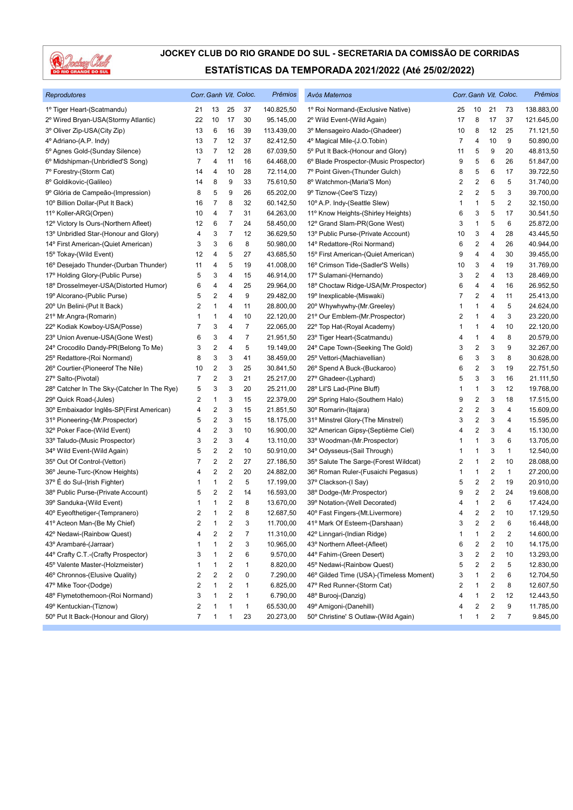

| 1º Tiger Heart-(Scatmandu)<br>13<br>25<br>140.825,50<br>1º Roi Normand-(Exclusive Native)<br>25<br>10<br>21<br>138.883,00<br>21<br>37<br>73<br>22<br>10<br>17<br>30<br>8<br>17<br>37<br>2º Wired Bryan-USA(Stormy Atlantic)<br>95.145,00<br>2º Wild Event-(Wild Again)<br>17<br>121.645,00<br>25<br>3º Oliver Zip-USA(City Zip)<br>13<br>6<br>16<br>39<br>113.439,00<br>10<br>8<br>12<br>71.121,50<br>3º Mensageiro Alado-(Ghadeer)<br>4º Adriano-(A.P. Indy)<br>13<br>12<br>37<br>4º Magical Mile-(J.O.Tobin)<br>7<br>10<br>9<br>50.890,00<br>7<br>82.412,50<br>4<br>5º Agnes Gold-(Sunday Silence)<br>13<br>7<br>12<br>28<br>67.039,50<br>5° Put It Back-(Honour and Glory)<br>5<br>9<br>20<br>48.813,50<br>11<br>6º Midshipman-(Unbridled'S Song)<br>7<br>11<br>16<br>64.468,00<br>6° Blade Prospector-(Music Prospector)<br>9<br>5<br>6<br>26<br>51.847,00<br>4<br>5<br>17<br>7º Forestry-(Storm Cat)<br>14<br>10<br>28<br>7º Point Given-(Thunder Gulch)<br>6<br>39.722,50<br>4<br>72.114,00<br>8<br>9<br>33<br>$\overline{2}$<br>6<br>5<br>8º Goldikovic-(Galileo)<br>8<br>75.610,50<br>8º Watchmon-(Maria'S Mon)<br>2<br>31.740,00<br>14<br>8<br>5<br>9<br>26<br>$\overline{\mathbf{c}}$<br>5<br>3<br>9º Glória de Campeão-(Impression)<br>65.202,00<br>9° Tiznow-(Cee'S Tizzy)<br>2<br>39.700,00<br>8<br>32<br>5<br>2<br>10° Billion Dollar-(Put It Back)<br>7<br>60.142,50<br>10° A.P. Indy-(Seattle Slew)<br>$\overline{1}$<br>32.150,00<br>16<br>1<br>7<br>11º Koller-ARG(Orpen)<br>31<br>64.263,00<br>11º Know Heights-(Shirley Heights)<br>3<br>5<br>17<br>30.541,50<br>10<br>4<br>6<br>$\overline{7}$<br>5<br>6<br>6<br>12º Victory Is Ours-(Northern Afleet)<br>12<br>24<br>58.450,00<br>12º Grand Slam-PR(Gone West)<br>3<br>$\mathbf{1}$<br>25.872,00<br>$\overline{7}$<br>28<br>13º Unbridled Star-(Honour and Glory)<br>3<br>12<br>36.629,50<br>13º Public Purse-(Private Account)<br>10<br>3<br>4<br>43.445,50<br>4<br>6<br>8<br>14º Redattore-(Roi Normand)<br>$\overline{2}$<br>26<br>14º First American-(Quiet American)<br>3<br>3<br>50.980,00<br>6<br>4<br>40.944,00<br>5<br>15° Tokay-(Wild Event)<br>27<br>43.685,50<br>15° First American-(Quiet American)<br>4<br>30<br>39.455,00<br>12<br>4<br>9<br>4<br>5<br>3<br>16° Desejado Thunder-(Durban Thunder)<br>19<br>16° Crimson Tide-(Sadler'S Wells)<br>4<br>19<br>31.769,00<br>11<br>4<br>41.008,00<br>10<br>4<br>$\overline{\mathbf{c}}$<br>17º Holding Glory-(Public Purse)<br>5<br>3<br>15<br>46.914,00<br>17º Sulamani-(Hernando)<br>4<br>13<br>28.469,00<br>3<br>25<br>16<br>18° Drosselmeyer-USA(Distorted Humor)<br>6<br>4<br>29.964,00<br>18° Choctaw Ridge-USA(Mr.Prospector)<br>4<br>4<br>26.952,50<br>4<br>6<br>4<br>9<br>19º Alcorano-(Public Purse)<br>5<br>2<br>29.482,00<br>19º Inexplicable-(Miswaki)<br>7<br>2<br>4<br>11<br>25.413,00<br>5<br>20° Un Belini-(Put It Back)<br>2<br>11<br>28.800,00<br>20° Whywhywhy-(Mr.Greeley)<br>1<br>4<br>24.624,00<br>1<br>4<br>1<br>10<br>3<br>21º Mr.Angra-(Romarin)<br>4<br>22.120,00<br>21º Our Emblem-(Mr.Prospector)<br>2<br>$\overline{1}$<br>4<br>23.220,00<br>1<br>1<br>$\boldsymbol{7}$<br>7<br>3<br>10<br>22° Kodiak Kowboy-USA(Posse)<br>4<br>22.065,00<br>22° Top Hat-(Royal Academy)<br>$\mathbf{1}$<br>4<br>1<br>22.120,00<br>$\overline{7}$<br>23º Union Avenue-USA(Gone West)<br>6<br>3<br>4<br>21.951,50<br>23° Tiger Heart-(Scatmandu)<br>$\mathbf{1}$<br>4<br>8<br>20.579,00<br>4<br>5<br>24° Cape Town-(Seeking The Gold)<br>$\overline{\mathbf{c}}$<br>9<br>24° Crocodilo Dandy-PR(Belong To Me)<br>3<br>2<br>4<br>19.149,00<br>3<br>3<br>32.267,00<br>3<br>3<br>25° Redattore-(Roi Normand)<br>8<br>3<br>41<br>38.459,00<br>25° Vettori-(Machiavellian)<br>3<br>8<br>30.628,00<br>6<br>$\overline{\mathbf{c}}$<br>3<br>25<br>$\overline{2}$<br>3<br>19<br>26° Courtier-(Pioneerof The Nile)<br>10<br>26° Spend A Buck-(Buckaroo)<br>22.751,50<br>30.841,50<br>6<br>3<br>3<br>7<br>$\overline{\mathbf{c}}$<br>21<br>3<br>16<br>27º Salto-(Pivotal)<br>25.217,00<br>27° Ghadeer-(Lyphard)<br>5<br>21.111,50<br>3<br>28° Catcher In The Sky-(Catcher In The Rye)<br>5<br>3<br>20<br>25.211,00<br>28° Lil'S Lad-(Pine Bluff)<br>$\mathbf{1}$<br>3<br>12<br>19.768,00<br>1<br>3<br>$\overline{2}$<br>29° Quick Road-(Jules)<br>2<br>15<br>22.379,00<br>29° Spring Halo-(Southern Halo)<br>9<br>3<br>18<br>17.515,00<br>1<br>$\overline{\mathbf{c}}$<br>3<br>$\overline{\mathbf{c}}$<br>3<br>30° Embaixador Inglês-SP(First American)<br>4<br>15<br>21.851,50<br>30° Romarin-(Itajara)<br>2<br>4<br>15.609,00<br>$\sqrt{2}$<br>$\overline{\mathbf{c}}$<br>3<br>15<br>3<br>31º Pioneering-(Mr.Prospector)<br>18.175,00<br>31º Minstrel Glory-(The Minstrel)<br>3<br>4<br>15.595,00<br>5<br>2<br>3<br>10<br>$\overline{\mathbf{c}}$<br>3<br>32° Poker Face-(Wild Event)<br>4<br>16.900,00<br>32º American Gipsy-(Septième Ciel)<br>4<br>15.130,00<br>4<br>2<br>3<br>3<br>6<br>3<br>4<br>13.110,00<br>33º Woodman-(Mr.Prospector)<br>$\mathbf{1}$<br>13.705,00<br>33º Taludo-(Music Prospector)<br>1<br>5<br>2<br>$\overline{\mathbf{c}}$<br>3<br>34° Wild Event-(Wild Again)<br>50.910,00<br>34° Odysseus-(Sail Through)<br>$\mathbf{1}$<br>12.540,00<br>10<br>1<br>1<br>7<br>$\overline{\mathbf{c}}$<br>35° Out Of Control-(Vettori)<br>2<br>2<br>27<br>27.186,50<br>35° Salute The Sarge-(Forest Wildcat)<br>$\mathbf{1}$<br>10<br>28.088,00<br>2<br>$\overline{\mathbf{c}}$<br>20<br>$\overline{\mathbf{c}}$<br>36° Jeune-Turc-(Know Heights)<br>2<br>24.882,00<br>36° Roman Ruler-(Fusaichi Pegasus)<br>$\mathbf{1}$<br>$\mathbf{1}$<br>27.200,00<br>4<br>1<br>$\sqrt{2}$<br>5<br>$\sqrt{2}$<br>$\overline{2}$<br>19<br>37° É do Sul-(Irish Fighter)<br>1<br>17.199,00<br>37º Clackson-(I Say)<br>5<br>20.910,00<br>1<br>2<br>$\overline{\mathbf{c}}$<br>$\overline{\mathbf{c}}$<br>$\overline{2}$<br>24<br>19.608,00<br>38° Public Purse-(Private Account)<br>5<br>14<br>16.593,00<br>38° Dodge-(Mr.Prospector)<br>9<br>$\sqrt{2}$<br>2<br>8<br>6<br>17.424,00<br>39° Sanduka-(Wild Event)<br>1<br>13.670,00<br>39° Notation-(Well Decorated)<br>1<br>4<br>1<br>$\overline{2}$<br>$\overline{2}$<br>8<br>$\overline{2}$<br>2<br>1<br>12.687,50<br>40° Fast Fingers-(Mt.Livermore)<br>4<br>10<br>17.129,50<br>40° Eyeofthetiger-(Tempranero)<br>$\sqrt{2}$<br>3<br>$\overline{2}$<br>$\overline{\mathbf{c}}$<br>16.448,00<br>41º Acteon Man-(Be My Chief)<br>2<br>11.700,00<br>41º Mark Of Esteem-(Darshaan)<br>6<br>1<br>3<br>$\overline{7}$<br>$\overline{\mathbf{c}}$<br>11.310,00<br>$\mathbf{1}$<br>2<br>2<br>14.600,00<br>42° Nedawi-(Rainbow Quest)<br>2<br>42° Linngari-(Indian Ridge)<br>4<br>1<br>2<br>3<br>$\overline{\mathbf{c}}$<br>2<br>14.175,00<br>43º Arambaré-(Jarraar)<br>10.965,00<br>43° Northern Afleet-(Afleet)<br>10<br>1<br>1<br>6<br>2<br>6<br>2<br>2<br>44° Crafty C.T.-(Crafty Prospector)<br>3<br>9.570,00<br>44° Fahim-(Green Desert)<br>3<br>10<br>13.293,00<br>1<br>$\sqrt{2}$<br>$\boldsymbol{2}$<br>2<br>5<br>45° Valente Master-(Holzmeister)<br>1<br>8.820,00<br>45° Nedawi-(Rainbow Quest)<br>5<br>12.830,00<br>1<br>1<br>$\sqrt{2}$<br>$\sqrt{2}$<br>2<br>$\pmb{0}$<br>6<br>46° Chronnos-(Elusive Quality)<br>2<br>7.290,00<br>46° Gilded Time (USA)-(Timeless Moment)<br>3<br>$\mathbf{1}$<br>12.704,50<br>2<br>2<br>2<br>47º Mike Toor-(Dodge)<br>1<br>6.825,00<br>47° Red Runner-(Storm Cat)<br>2<br>1<br>8<br>12.607,50<br>1<br>3<br>$\overline{\mathbf{c}}$<br>48° Burooj-(Danzig)<br>$\overline{\mathbf{c}}$<br>48º Flymetothemoon-(Roi Normand)<br>1<br>6.790,00<br>4<br>$\mathbf{1}$<br>12<br>12.443,50<br>1<br>$\mathbf{1}$<br>65.530,00<br>49º Amigoni-(Danehill)<br>2<br>9<br>11.785,00<br>49° Kentuckian-(Tiznow)<br>2<br>1<br>2<br>4<br>1<br>$\overline{7}$<br>$\overline{c}$<br>23<br>50° Christine' S Outlaw-(Wild Again)<br>$\mathbf{1}$<br>50° Put It Back-(Honour and Glory)<br>1<br>20.273,00<br>7<br>9.845,00<br>1<br>1 | Reprodutores |  | Corr. Ganh Vit. Coloc. | <b>Prêmios</b> | Avós Maternos |  | Corr. Ganh Vit. Coloc. | Prêmios |
|------------------------------------------------------------------------------------------------------------------------------------------------------------------------------------------------------------------------------------------------------------------------------------------------------------------------------------------------------------------------------------------------------------------------------------------------------------------------------------------------------------------------------------------------------------------------------------------------------------------------------------------------------------------------------------------------------------------------------------------------------------------------------------------------------------------------------------------------------------------------------------------------------------------------------------------------------------------------------------------------------------------------------------------------------------------------------------------------------------------------------------------------------------------------------------------------------------------------------------------------------------------------------------------------------------------------------------------------------------------------------------------------------------------------------------------------------------------------------------------------------------------------------------------------------------------------------------------------------------------------------------------------------------------------------------------------------------------------------------------------------------------------------------------------------------------------------------------------------------------------------------------------------------------------------------------------------------------------------------------------------------------------------------------------------------------------------------------------------------------------------------------------------------------------------------------------------------------------------------------------------------------------------------------------------------------------------------------------------------------------------------------------------------------------------------------------------------------------------------------------------------------------------------------------------------------------------------------------------------------------------------------------------------------------------------------------------------------------------------------------------------------------------------------------------------------------------------------------------------------------------------------------------------------------------------------------------------------------------------------------------------------------------------------------------------------------------------------------------------------------------------------------------------------------------------------------------------------------------------------------------------------------------------------------------------------------------------------------------------------------------------------------------------------------------------------------------------------------------------------------------------------------------------------------------------------------------------------------------------------------------------------------------------------------------------------------------------------------------------------------------------------------------------------------------------------------------------------------------------------------------------------------------------------------------------------------------------------------------------------------------------------------------------------------------------------------------------------------------------------------------------------------------------------------------------------------------------------------------------------------------------------------------------------------------------------------------------------------------------------------------------------------------------------------------------------------------------------------------------------------------------------------------------------------------------------------------------------------------------------------------------------------------------------------------------------------------------------------------------------------------------------------------------------------------------------------------------------------------------------------------------------------------------------------------------------------------------------------------------------------------------------------------------------------------------------------------------------------------------------------------------------------------------------------------------------------------------------------------------------------------------------------------------------------------------------------------------------------------------------------------------------------------------------------------------------------------------------------------------------------------------------------------------------------------------------------------------------------------------------------------------------------------------------------------------------------------------------------------------------------------------------------------------------------------------------------------------------------------------------------------------------------------------------------------------------------------------------------------------------------------------------------------------------------------------------------------------------------------------------------------------------------------------------------------------------------------------------------------------------------------------------------------------------------------------------------------------------------------------------------------------------------------------------------------------------------------------------------------------------------------------------------------------------------------------------------------------------------------------------------------------------------------------------------------------------------------------------------------------------------------------------------------------------------------------------------------------------------------------------------------------------------------------------------------------------------------------------------------------------------------------------------------------------------------------------------------------------------------------------------------------------------------------------------------------------------------------------------------------------------------------------------------------------------------------------------------------------------------------------------------------------------------------------------------------------------------------------------------------------------------------------------------------------------------------------------------------------------------------------------------------------------------------------------------------------------------------------------------------------------------------------------------------------------------------------------------------------------------------------------------------------------------------------------------------------|--------------|--|------------------------|----------------|---------------|--|------------------------|---------|
|                                                                                                                                                                                                                                                                                                                                                                                                                                                                                                                                                                                                                                                                                                                                                                                                                                                                                                                                                                                                                                                                                                                                                                                                                                                                                                                                                                                                                                                                                                                                                                                                                                                                                                                                                                                                                                                                                                                                                                                                                                                                                                                                                                                                                                                                                                                                                                                                                                                                                                                                                                                                                                                                                                                                                                                                                                                                                                                                                                                                                                                                                                                                                                                                                                                                                                                                                                                                                                                                                                                                                                                                                                                                                                                                                                                                                                                                                                                                                                                                                                                                                                                                                                                                                                                                                                                                                                                                                                                                                                                                                                                                                                                                                                                                                                                                                                                                                                                                                                                                                                                                                                                                                                                                                                                                                                                                                                                                                                                                                                                                                                                                                                                                                                                                                                                                                                                                                                                                                                                                                                                                                                                                                                                                                                                                                                                                                                                                                                                                                                                                                                                                                                                                                                                                                                                                                                                                                                                                                                                                                                                                                                                                                                                                                                                                                                                                                                                                                                                                                                                                                                                                                                                                                                                                                                                                                                                                                                                                          |              |  |                        |                |               |  |                        |         |
|                                                                                                                                                                                                                                                                                                                                                                                                                                                                                                                                                                                                                                                                                                                                                                                                                                                                                                                                                                                                                                                                                                                                                                                                                                                                                                                                                                                                                                                                                                                                                                                                                                                                                                                                                                                                                                                                                                                                                                                                                                                                                                                                                                                                                                                                                                                                                                                                                                                                                                                                                                                                                                                                                                                                                                                                                                                                                                                                                                                                                                                                                                                                                                                                                                                                                                                                                                                                                                                                                                                                                                                                                                                                                                                                                                                                                                                                                                                                                                                                                                                                                                                                                                                                                                                                                                                                                                                                                                                                                                                                                                                                                                                                                                                                                                                                                                                                                                                                                                                                                                                                                                                                                                                                                                                                                                                                                                                                                                                                                                                                                                                                                                                                                                                                                                                                                                                                                                                                                                                                                                                                                                                                                                                                                                                                                                                                                                                                                                                                                                                                                                                                                                                                                                                                                                                                                                                                                                                                                                                                                                                                                                                                                                                                                                                                                                                                                                                                                                                                                                                                                                                                                                                                                                                                                                                                                                                                                                                                          |              |  |                        |                |               |  |                        |         |
|                                                                                                                                                                                                                                                                                                                                                                                                                                                                                                                                                                                                                                                                                                                                                                                                                                                                                                                                                                                                                                                                                                                                                                                                                                                                                                                                                                                                                                                                                                                                                                                                                                                                                                                                                                                                                                                                                                                                                                                                                                                                                                                                                                                                                                                                                                                                                                                                                                                                                                                                                                                                                                                                                                                                                                                                                                                                                                                                                                                                                                                                                                                                                                                                                                                                                                                                                                                                                                                                                                                                                                                                                                                                                                                                                                                                                                                                                                                                                                                                                                                                                                                                                                                                                                                                                                                                                                                                                                                                                                                                                                                                                                                                                                                                                                                                                                                                                                                                                                                                                                                                                                                                                                                                                                                                                                                                                                                                                                                                                                                                                                                                                                                                                                                                                                                                                                                                                                                                                                                                                                                                                                                                                                                                                                                                                                                                                                                                                                                                                                                                                                                                                                                                                                                                                                                                                                                                                                                                                                                                                                                                                                                                                                                                                                                                                                                                                                                                                                                                                                                                                                                                                                                                                                                                                                                                                                                                                                                                          |              |  |                        |                |               |  |                        |         |
|                                                                                                                                                                                                                                                                                                                                                                                                                                                                                                                                                                                                                                                                                                                                                                                                                                                                                                                                                                                                                                                                                                                                                                                                                                                                                                                                                                                                                                                                                                                                                                                                                                                                                                                                                                                                                                                                                                                                                                                                                                                                                                                                                                                                                                                                                                                                                                                                                                                                                                                                                                                                                                                                                                                                                                                                                                                                                                                                                                                                                                                                                                                                                                                                                                                                                                                                                                                                                                                                                                                                                                                                                                                                                                                                                                                                                                                                                                                                                                                                                                                                                                                                                                                                                                                                                                                                                                                                                                                                                                                                                                                                                                                                                                                                                                                                                                                                                                                                                                                                                                                                                                                                                                                                                                                                                                                                                                                                                                                                                                                                                                                                                                                                                                                                                                                                                                                                                                                                                                                                                                                                                                                                                                                                                                                                                                                                                                                                                                                                                                                                                                                                                                                                                                                                                                                                                                                                                                                                                                                                                                                                                                                                                                                                                                                                                                                                                                                                                                                                                                                                                                                                                                                                                                                                                                                                                                                                                                                                          |              |  |                        |                |               |  |                        |         |
|                                                                                                                                                                                                                                                                                                                                                                                                                                                                                                                                                                                                                                                                                                                                                                                                                                                                                                                                                                                                                                                                                                                                                                                                                                                                                                                                                                                                                                                                                                                                                                                                                                                                                                                                                                                                                                                                                                                                                                                                                                                                                                                                                                                                                                                                                                                                                                                                                                                                                                                                                                                                                                                                                                                                                                                                                                                                                                                                                                                                                                                                                                                                                                                                                                                                                                                                                                                                                                                                                                                                                                                                                                                                                                                                                                                                                                                                                                                                                                                                                                                                                                                                                                                                                                                                                                                                                                                                                                                                                                                                                                                                                                                                                                                                                                                                                                                                                                                                                                                                                                                                                                                                                                                                                                                                                                                                                                                                                                                                                                                                                                                                                                                                                                                                                                                                                                                                                                                                                                                                                                                                                                                                                                                                                                                                                                                                                                                                                                                                                                                                                                                                                                                                                                                                                                                                                                                                                                                                                                                                                                                                                                                                                                                                                                                                                                                                                                                                                                                                                                                                                                                                                                                                                                                                                                                                                                                                                                                                          |              |  |                        |                |               |  |                        |         |
|                                                                                                                                                                                                                                                                                                                                                                                                                                                                                                                                                                                                                                                                                                                                                                                                                                                                                                                                                                                                                                                                                                                                                                                                                                                                                                                                                                                                                                                                                                                                                                                                                                                                                                                                                                                                                                                                                                                                                                                                                                                                                                                                                                                                                                                                                                                                                                                                                                                                                                                                                                                                                                                                                                                                                                                                                                                                                                                                                                                                                                                                                                                                                                                                                                                                                                                                                                                                                                                                                                                                                                                                                                                                                                                                                                                                                                                                                                                                                                                                                                                                                                                                                                                                                                                                                                                                                                                                                                                                                                                                                                                                                                                                                                                                                                                                                                                                                                                                                                                                                                                                                                                                                                                                                                                                                                                                                                                                                                                                                                                                                                                                                                                                                                                                                                                                                                                                                                                                                                                                                                                                                                                                                                                                                                                                                                                                                                                                                                                                                                                                                                                                                                                                                                                                                                                                                                                                                                                                                                                                                                                                                                                                                                                                                                                                                                                                                                                                                                                                                                                                                                                                                                                                                                                                                                                                                                                                                                                                          |              |  |                        |                |               |  |                        |         |
|                                                                                                                                                                                                                                                                                                                                                                                                                                                                                                                                                                                                                                                                                                                                                                                                                                                                                                                                                                                                                                                                                                                                                                                                                                                                                                                                                                                                                                                                                                                                                                                                                                                                                                                                                                                                                                                                                                                                                                                                                                                                                                                                                                                                                                                                                                                                                                                                                                                                                                                                                                                                                                                                                                                                                                                                                                                                                                                                                                                                                                                                                                                                                                                                                                                                                                                                                                                                                                                                                                                                                                                                                                                                                                                                                                                                                                                                                                                                                                                                                                                                                                                                                                                                                                                                                                                                                                                                                                                                                                                                                                                                                                                                                                                                                                                                                                                                                                                                                                                                                                                                                                                                                                                                                                                                                                                                                                                                                                                                                                                                                                                                                                                                                                                                                                                                                                                                                                                                                                                                                                                                                                                                                                                                                                                                                                                                                                                                                                                                                                                                                                                                                                                                                                                                                                                                                                                                                                                                                                                                                                                                                                                                                                                                                                                                                                                                                                                                                                                                                                                                                                                                                                                                                                                                                                                                                                                                                                                                          |              |  |                        |                |               |  |                        |         |
|                                                                                                                                                                                                                                                                                                                                                                                                                                                                                                                                                                                                                                                                                                                                                                                                                                                                                                                                                                                                                                                                                                                                                                                                                                                                                                                                                                                                                                                                                                                                                                                                                                                                                                                                                                                                                                                                                                                                                                                                                                                                                                                                                                                                                                                                                                                                                                                                                                                                                                                                                                                                                                                                                                                                                                                                                                                                                                                                                                                                                                                                                                                                                                                                                                                                                                                                                                                                                                                                                                                                                                                                                                                                                                                                                                                                                                                                                                                                                                                                                                                                                                                                                                                                                                                                                                                                                                                                                                                                                                                                                                                                                                                                                                                                                                                                                                                                                                                                                                                                                                                                                                                                                                                                                                                                                                                                                                                                                                                                                                                                                                                                                                                                                                                                                                                                                                                                                                                                                                                                                                                                                                                                                                                                                                                                                                                                                                                                                                                                                                                                                                                                                                                                                                                                                                                                                                                                                                                                                                                                                                                                                                                                                                                                                                                                                                                                                                                                                                                                                                                                                                                                                                                                                                                                                                                                                                                                                                                                          |              |  |                        |                |               |  |                        |         |
|                                                                                                                                                                                                                                                                                                                                                                                                                                                                                                                                                                                                                                                                                                                                                                                                                                                                                                                                                                                                                                                                                                                                                                                                                                                                                                                                                                                                                                                                                                                                                                                                                                                                                                                                                                                                                                                                                                                                                                                                                                                                                                                                                                                                                                                                                                                                                                                                                                                                                                                                                                                                                                                                                                                                                                                                                                                                                                                                                                                                                                                                                                                                                                                                                                                                                                                                                                                                                                                                                                                                                                                                                                                                                                                                                                                                                                                                                                                                                                                                                                                                                                                                                                                                                                                                                                                                                                                                                                                                                                                                                                                                                                                                                                                                                                                                                                                                                                                                                                                                                                                                                                                                                                                                                                                                                                                                                                                                                                                                                                                                                                                                                                                                                                                                                                                                                                                                                                                                                                                                                                                                                                                                                                                                                                                                                                                                                                                                                                                                                                                                                                                                                                                                                                                                                                                                                                                                                                                                                                                                                                                                                                                                                                                                                                                                                                                                                                                                                                                                                                                                                                                                                                                                                                                                                                                                                                                                                                                                          |              |  |                        |                |               |  |                        |         |
|                                                                                                                                                                                                                                                                                                                                                                                                                                                                                                                                                                                                                                                                                                                                                                                                                                                                                                                                                                                                                                                                                                                                                                                                                                                                                                                                                                                                                                                                                                                                                                                                                                                                                                                                                                                                                                                                                                                                                                                                                                                                                                                                                                                                                                                                                                                                                                                                                                                                                                                                                                                                                                                                                                                                                                                                                                                                                                                                                                                                                                                                                                                                                                                                                                                                                                                                                                                                                                                                                                                                                                                                                                                                                                                                                                                                                                                                                                                                                                                                                                                                                                                                                                                                                                                                                                                                                                                                                                                                                                                                                                                                                                                                                                                                                                                                                                                                                                                                                                                                                                                                                                                                                                                                                                                                                                                                                                                                                                                                                                                                                                                                                                                                                                                                                                                                                                                                                                                                                                                                                                                                                                                                                                                                                                                                                                                                                                                                                                                                                                                                                                                                                                                                                                                                                                                                                                                                                                                                                                                                                                                                                                                                                                                                                                                                                                                                                                                                                                                                                                                                                                                                                                                                                                                                                                                                                                                                                                                                          |              |  |                        |                |               |  |                        |         |
|                                                                                                                                                                                                                                                                                                                                                                                                                                                                                                                                                                                                                                                                                                                                                                                                                                                                                                                                                                                                                                                                                                                                                                                                                                                                                                                                                                                                                                                                                                                                                                                                                                                                                                                                                                                                                                                                                                                                                                                                                                                                                                                                                                                                                                                                                                                                                                                                                                                                                                                                                                                                                                                                                                                                                                                                                                                                                                                                                                                                                                                                                                                                                                                                                                                                                                                                                                                                                                                                                                                                                                                                                                                                                                                                                                                                                                                                                                                                                                                                                                                                                                                                                                                                                                                                                                                                                                                                                                                                                                                                                                                                                                                                                                                                                                                                                                                                                                                                                                                                                                                                                                                                                                                                                                                                                                                                                                                                                                                                                                                                                                                                                                                                                                                                                                                                                                                                                                                                                                                                                                                                                                                                                                                                                                                                                                                                                                                                                                                                                                                                                                                                                                                                                                                                                                                                                                                                                                                                                                                                                                                                                                                                                                                                                                                                                                                                                                                                                                                                                                                                                                                                                                                                                                                                                                                                                                                                                                                                          |              |  |                        |                |               |  |                        |         |
|                                                                                                                                                                                                                                                                                                                                                                                                                                                                                                                                                                                                                                                                                                                                                                                                                                                                                                                                                                                                                                                                                                                                                                                                                                                                                                                                                                                                                                                                                                                                                                                                                                                                                                                                                                                                                                                                                                                                                                                                                                                                                                                                                                                                                                                                                                                                                                                                                                                                                                                                                                                                                                                                                                                                                                                                                                                                                                                                                                                                                                                                                                                                                                                                                                                                                                                                                                                                                                                                                                                                                                                                                                                                                                                                                                                                                                                                                                                                                                                                                                                                                                                                                                                                                                                                                                                                                                                                                                                                                                                                                                                                                                                                                                                                                                                                                                                                                                                                                                                                                                                                                                                                                                                                                                                                                                                                                                                                                                                                                                                                                                                                                                                                                                                                                                                                                                                                                                                                                                                                                                                                                                                                                                                                                                                                                                                                                                                                                                                                                                                                                                                                                                                                                                                                                                                                                                                                                                                                                                                                                                                                                                                                                                                                                                                                                                                                                                                                                                                                                                                                                                                                                                                                                                                                                                                                                                                                                                                                          |              |  |                        |                |               |  |                        |         |
|                                                                                                                                                                                                                                                                                                                                                                                                                                                                                                                                                                                                                                                                                                                                                                                                                                                                                                                                                                                                                                                                                                                                                                                                                                                                                                                                                                                                                                                                                                                                                                                                                                                                                                                                                                                                                                                                                                                                                                                                                                                                                                                                                                                                                                                                                                                                                                                                                                                                                                                                                                                                                                                                                                                                                                                                                                                                                                                                                                                                                                                                                                                                                                                                                                                                                                                                                                                                                                                                                                                                                                                                                                                                                                                                                                                                                                                                                                                                                                                                                                                                                                                                                                                                                                                                                                                                                                                                                                                                                                                                                                                                                                                                                                                                                                                                                                                                                                                                                                                                                                                                                                                                                                                                                                                                                                                                                                                                                                                                                                                                                                                                                                                                                                                                                                                                                                                                                                                                                                                                                                                                                                                                                                                                                                                                                                                                                                                                                                                                                                                                                                                                                                                                                                                                                                                                                                                                                                                                                                                                                                                                                                                                                                                                                                                                                                                                                                                                                                                                                                                                                                                                                                                                                                                                                                                                                                                                                                                                          |              |  |                        |                |               |  |                        |         |
|                                                                                                                                                                                                                                                                                                                                                                                                                                                                                                                                                                                                                                                                                                                                                                                                                                                                                                                                                                                                                                                                                                                                                                                                                                                                                                                                                                                                                                                                                                                                                                                                                                                                                                                                                                                                                                                                                                                                                                                                                                                                                                                                                                                                                                                                                                                                                                                                                                                                                                                                                                                                                                                                                                                                                                                                                                                                                                                                                                                                                                                                                                                                                                                                                                                                                                                                                                                                                                                                                                                                                                                                                                                                                                                                                                                                                                                                                                                                                                                                                                                                                                                                                                                                                                                                                                                                                                                                                                                                                                                                                                                                                                                                                                                                                                                                                                                                                                                                                                                                                                                                                                                                                                                                                                                                                                                                                                                                                                                                                                                                                                                                                                                                                                                                                                                                                                                                                                                                                                                                                                                                                                                                                                                                                                                                                                                                                                                                                                                                                                                                                                                                                                                                                                                                                                                                                                                                                                                                                                                                                                                                                                                                                                                                                                                                                                                                                                                                                                                                                                                                                                                                                                                                                                                                                                                                                                                                                                                                          |              |  |                        |                |               |  |                        |         |
|                                                                                                                                                                                                                                                                                                                                                                                                                                                                                                                                                                                                                                                                                                                                                                                                                                                                                                                                                                                                                                                                                                                                                                                                                                                                                                                                                                                                                                                                                                                                                                                                                                                                                                                                                                                                                                                                                                                                                                                                                                                                                                                                                                                                                                                                                                                                                                                                                                                                                                                                                                                                                                                                                                                                                                                                                                                                                                                                                                                                                                                                                                                                                                                                                                                                                                                                                                                                                                                                                                                                                                                                                                                                                                                                                                                                                                                                                                                                                                                                                                                                                                                                                                                                                                                                                                                                                                                                                                                                                                                                                                                                                                                                                                                                                                                                                                                                                                                                                                                                                                                                                                                                                                                                                                                                                                                                                                                                                                                                                                                                                                                                                                                                                                                                                                                                                                                                                                                                                                                                                                                                                                                                                                                                                                                                                                                                                                                                                                                                                                                                                                                                                                                                                                                                                                                                                                                                                                                                                                                                                                                                                                                                                                                                                                                                                                                                                                                                                                                                                                                                                                                                                                                                                                                                                                                                                                                                                                                                          |              |  |                        |                |               |  |                        |         |
|                                                                                                                                                                                                                                                                                                                                                                                                                                                                                                                                                                                                                                                                                                                                                                                                                                                                                                                                                                                                                                                                                                                                                                                                                                                                                                                                                                                                                                                                                                                                                                                                                                                                                                                                                                                                                                                                                                                                                                                                                                                                                                                                                                                                                                                                                                                                                                                                                                                                                                                                                                                                                                                                                                                                                                                                                                                                                                                                                                                                                                                                                                                                                                                                                                                                                                                                                                                                                                                                                                                                                                                                                                                                                                                                                                                                                                                                                                                                                                                                                                                                                                                                                                                                                                                                                                                                                                                                                                                                                                                                                                                                                                                                                                                                                                                                                                                                                                                                                                                                                                                                                                                                                                                                                                                                                                                                                                                                                                                                                                                                                                                                                                                                                                                                                                                                                                                                                                                                                                                                                                                                                                                                                                                                                                                                                                                                                                                                                                                                                                                                                                                                                                                                                                                                                                                                                                                                                                                                                                                                                                                                                                                                                                                                                                                                                                                                                                                                                                                                                                                                                                                                                                                                                                                                                                                                                                                                                                                                          |              |  |                        |                |               |  |                        |         |
|                                                                                                                                                                                                                                                                                                                                                                                                                                                                                                                                                                                                                                                                                                                                                                                                                                                                                                                                                                                                                                                                                                                                                                                                                                                                                                                                                                                                                                                                                                                                                                                                                                                                                                                                                                                                                                                                                                                                                                                                                                                                                                                                                                                                                                                                                                                                                                                                                                                                                                                                                                                                                                                                                                                                                                                                                                                                                                                                                                                                                                                                                                                                                                                                                                                                                                                                                                                                                                                                                                                                                                                                                                                                                                                                                                                                                                                                                                                                                                                                                                                                                                                                                                                                                                                                                                                                                                                                                                                                                                                                                                                                                                                                                                                                                                                                                                                                                                                                                                                                                                                                                                                                                                                                                                                                                                                                                                                                                                                                                                                                                                                                                                                                                                                                                                                                                                                                                                                                                                                                                                                                                                                                                                                                                                                                                                                                                                                                                                                                                                                                                                                                                                                                                                                                                                                                                                                                                                                                                                                                                                                                                                                                                                                                                                                                                                                                                                                                                                                                                                                                                                                                                                                                                                                                                                                                                                                                                                                                          |              |  |                        |                |               |  |                        |         |
|                                                                                                                                                                                                                                                                                                                                                                                                                                                                                                                                                                                                                                                                                                                                                                                                                                                                                                                                                                                                                                                                                                                                                                                                                                                                                                                                                                                                                                                                                                                                                                                                                                                                                                                                                                                                                                                                                                                                                                                                                                                                                                                                                                                                                                                                                                                                                                                                                                                                                                                                                                                                                                                                                                                                                                                                                                                                                                                                                                                                                                                                                                                                                                                                                                                                                                                                                                                                                                                                                                                                                                                                                                                                                                                                                                                                                                                                                                                                                                                                                                                                                                                                                                                                                                                                                                                                                                                                                                                                                                                                                                                                                                                                                                                                                                                                                                                                                                                                                                                                                                                                                                                                                                                                                                                                                                                                                                                                                                                                                                                                                                                                                                                                                                                                                                                                                                                                                                                                                                                                                                                                                                                                                                                                                                                                                                                                                                                                                                                                                                                                                                                                                                                                                                                                                                                                                                                                                                                                                                                                                                                                                                                                                                                                                                                                                                                                                                                                                                                                                                                                                                                                                                                                                                                                                                                                                                                                                                                                          |              |  |                        |                |               |  |                        |         |
|                                                                                                                                                                                                                                                                                                                                                                                                                                                                                                                                                                                                                                                                                                                                                                                                                                                                                                                                                                                                                                                                                                                                                                                                                                                                                                                                                                                                                                                                                                                                                                                                                                                                                                                                                                                                                                                                                                                                                                                                                                                                                                                                                                                                                                                                                                                                                                                                                                                                                                                                                                                                                                                                                                                                                                                                                                                                                                                                                                                                                                                                                                                                                                                                                                                                                                                                                                                                                                                                                                                                                                                                                                                                                                                                                                                                                                                                                                                                                                                                                                                                                                                                                                                                                                                                                                                                                                                                                                                                                                                                                                                                                                                                                                                                                                                                                                                                                                                                                                                                                                                                                                                                                                                                                                                                                                                                                                                                                                                                                                                                                                                                                                                                                                                                                                                                                                                                                                                                                                                                                                                                                                                                                                                                                                                                                                                                                                                                                                                                                                                                                                                                                                                                                                                                                                                                                                                                                                                                                                                                                                                                                                                                                                                                                                                                                                                                                                                                                                                                                                                                                                                                                                                                                                                                                                                                                                                                                                                                          |              |  |                        |                |               |  |                        |         |
|                                                                                                                                                                                                                                                                                                                                                                                                                                                                                                                                                                                                                                                                                                                                                                                                                                                                                                                                                                                                                                                                                                                                                                                                                                                                                                                                                                                                                                                                                                                                                                                                                                                                                                                                                                                                                                                                                                                                                                                                                                                                                                                                                                                                                                                                                                                                                                                                                                                                                                                                                                                                                                                                                                                                                                                                                                                                                                                                                                                                                                                                                                                                                                                                                                                                                                                                                                                                                                                                                                                                                                                                                                                                                                                                                                                                                                                                                                                                                                                                                                                                                                                                                                                                                                                                                                                                                                                                                                                                                                                                                                                                                                                                                                                                                                                                                                                                                                                                                                                                                                                                                                                                                                                                                                                                                                                                                                                                                                                                                                                                                                                                                                                                                                                                                                                                                                                                                                                                                                                                                                                                                                                                                                                                                                                                                                                                                                                                                                                                                                                                                                                                                                                                                                                                                                                                                                                                                                                                                                                                                                                                                                                                                                                                                                                                                                                                                                                                                                                                                                                                                                                                                                                                                                                                                                                                                                                                                                                                          |              |  |                        |                |               |  |                        |         |
|                                                                                                                                                                                                                                                                                                                                                                                                                                                                                                                                                                                                                                                                                                                                                                                                                                                                                                                                                                                                                                                                                                                                                                                                                                                                                                                                                                                                                                                                                                                                                                                                                                                                                                                                                                                                                                                                                                                                                                                                                                                                                                                                                                                                                                                                                                                                                                                                                                                                                                                                                                                                                                                                                                                                                                                                                                                                                                                                                                                                                                                                                                                                                                                                                                                                                                                                                                                                                                                                                                                                                                                                                                                                                                                                                                                                                                                                                                                                                                                                                                                                                                                                                                                                                                                                                                                                                                                                                                                                                                                                                                                                                                                                                                                                                                                                                                                                                                                                                                                                                                                                                                                                                                                                                                                                                                                                                                                                                                                                                                                                                                                                                                                                                                                                                                                                                                                                                                                                                                                                                                                                                                                                                                                                                                                                                                                                                                                                                                                                                                                                                                                                                                                                                                                                                                                                                                                                                                                                                                                                                                                                                                                                                                                                                                                                                                                                                                                                                                                                                                                                                                                                                                                                                                                                                                                                                                                                                                                                          |              |  |                        |                |               |  |                        |         |
|                                                                                                                                                                                                                                                                                                                                                                                                                                                                                                                                                                                                                                                                                                                                                                                                                                                                                                                                                                                                                                                                                                                                                                                                                                                                                                                                                                                                                                                                                                                                                                                                                                                                                                                                                                                                                                                                                                                                                                                                                                                                                                                                                                                                                                                                                                                                                                                                                                                                                                                                                                                                                                                                                                                                                                                                                                                                                                                                                                                                                                                                                                                                                                                                                                                                                                                                                                                                                                                                                                                                                                                                                                                                                                                                                                                                                                                                                                                                                                                                                                                                                                                                                                                                                                                                                                                                                                                                                                                                                                                                                                                                                                                                                                                                                                                                                                                                                                                                                                                                                                                                                                                                                                                                                                                                                                                                                                                                                                                                                                                                                                                                                                                                                                                                                                                                                                                                                                                                                                                                                                                                                                                                                                                                                                                                                                                                                                                                                                                                                                                                                                                                                                                                                                                                                                                                                                                                                                                                                                                                                                                                                                                                                                                                                                                                                                                                                                                                                                                                                                                                                                                                                                                                                                                                                                                                                                                                                                                                          |              |  |                        |                |               |  |                        |         |
|                                                                                                                                                                                                                                                                                                                                                                                                                                                                                                                                                                                                                                                                                                                                                                                                                                                                                                                                                                                                                                                                                                                                                                                                                                                                                                                                                                                                                                                                                                                                                                                                                                                                                                                                                                                                                                                                                                                                                                                                                                                                                                                                                                                                                                                                                                                                                                                                                                                                                                                                                                                                                                                                                                                                                                                                                                                                                                                                                                                                                                                                                                                                                                                                                                                                                                                                                                                                                                                                                                                                                                                                                                                                                                                                                                                                                                                                                                                                                                                                                                                                                                                                                                                                                                                                                                                                                                                                                                                                                                                                                                                                                                                                                                                                                                                                                                                                                                                                                                                                                                                                                                                                                                                                                                                                                                                                                                                                                                                                                                                                                                                                                                                                                                                                                                                                                                                                                                                                                                                                                                                                                                                                                                                                                                                                                                                                                                                                                                                                                                                                                                                                                                                                                                                                                                                                                                                                                                                                                                                                                                                                                                                                                                                                                                                                                                                                                                                                                                                                                                                                                                                                                                                                                                                                                                                                                                                                                                                                          |              |  |                        |                |               |  |                        |         |
|                                                                                                                                                                                                                                                                                                                                                                                                                                                                                                                                                                                                                                                                                                                                                                                                                                                                                                                                                                                                                                                                                                                                                                                                                                                                                                                                                                                                                                                                                                                                                                                                                                                                                                                                                                                                                                                                                                                                                                                                                                                                                                                                                                                                                                                                                                                                                                                                                                                                                                                                                                                                                                                                                                                                                                                                                                                                                                                                                                                                                                                                                                                                                                                                                                                                                                                                                                                                                                                                                                                                                                                                                                                                                                                                                                                                                                                                                                                                                                                                                                                                                                                                                                                                                                                                                                                                                                                                                                                                                                                                                                                                                                                                                                                                                                                                                                                                                                                                                                                                                                                                                                                                                                                                                                                                                                                                                                                                                                                                                                                                                                                                                                                                                                                                                                                                                                                                                                                                                                                                                                                                                                                                                                                                                                                                                                                                                                                                                                                                                                                                                                                                                                                                                                                                                                                                                                                                                                                                                                                                                                                                                                                                                                                                                                                                                                                                                                                                                                                                                                                                                                                                                                                                                                                                                                                                                                                                                                                                          |              |  |                        |                |               |  |                        |         |
|                                                                                                                                                                                                                                                                                                                                                                                                                                                                                                                                                                                                                                                                                                                                                                                                                                                                                                                                                                                                                                                                                                                                                                                                                                                                                                                                                                                                                                                                                                                                                                                                                                                                                                                                                                                                                                                                                                                                                                                                                                                                                                                                                                                                                                                                                                                                                                                                                                                                                                                                                                                                                                                                                                                                                                                                                                                                                                                                                                                                                                                                                                                                                                                                                                                                                                                                                                                                                                                                                                                                                                                                                                                                                                                                                                                                                                                                                                                                                                                                                                                                                                                                                                                                                                                                                                                                                                                                                                                                                                                                                                                                                                                                                                                                                                                                                                                                                                                                                                                                                                                                                                                                                                                                                                                                                                                                                                                                                                                                                                                                                                                                                                                                                                                                                                                                                                                                                                                                                                                                                                                                                                                                                                                                                                                                                                                                                                                                                                                                                                                                                                                                                                                                                                                                                                                                                                                                                                                                                                                                                                                                                                                                                                                                                                                                                                                                                                                                                                                                                                                                                                                                                                                                                                                                                                                                                                                                                                                                          |              |  |                        |                |               |  |                        |         |
|                                                                                                                                                                                                                                                                                                                                                                                                                                                                                                                                                                                                                                                                                                                                                                                                                                                                                                                                                                                                                                                                                                                                                                                                                                                                                                                                                                                                                                                                                                                                                                                                                                                                                                                                                                                                                                                                                                                                                                                                                                                                                                                                                                                                                                                                                                                                                                                                                                                                                                                                                                                                                                                                                                                                                                                                                                                                                                                                                                                                                                                                                                                                                                                                                                                                                                                                                                                                                                                                                                                                                                                                                                                                                                                                                                                                                                                                                                                                                                                                                                                                                                                                                                                                                                                                                                                                                                                                                                                                                                                                                                                                                                                                                                                                                                                                                                                                                                                                                                                                                                                                                                                                                                                                                                                                                                                                                                                                                                                                                                                                                                                                                                                                                                                                                                                                                                                                                                                                                                                                                                                                                                                                                                                                                                                                                                                                                                                                                                                                                                                                                                                                                                                                                                                                                                                                                                                                                                                                                                                                                                                                                                                                                                                                                                                                                                                                                                                                                                                                                                                                                                                                                                                                                                                                                                                                                                                                                                                                          |              |  |                        |                |               |  |                        |         |
|                                                                                                                                                                                                                                                                                                                                                                                                                                                                                                                                                                                                                                                                                                                                                                                                                                                                                                                                                                                                                                                                                                                                                                                                                                                                                                                                                                                                                                                                                                                                                                                                                                                                                                                                                                                                                                                                                                                                                                                                                                                                                                                                                                                                                                                                                                                                                                                                                                                                                                                                                                                                                                                                                                                                                                                                                                                                                                                                                                                                                                                                                                                                                                                                                                                                                                                                                                                                                                                                                                                                                                                                                                                                                                                                                                                                                                                                                                                                                                                                                                                                                                                                                                                                                                                                                                                                                                                                                                                                                                                                                                                                                                                                                                                                                                                                                                                                                                                                                                                                                                                                                                                                                                                                                                                                                                                                                                                                                                                                                                                                                                                                                                                                                                                                                                                                                                                                                                                                                                                                                                                                                                                                                                                                                                                                                                                                                                                                                                                                                                                                                                                                                                                                                                                                                                                                                                                                                                                                                                                                                                                                                                                                                                                                                                                                                                                                                                                                                                                                                                                                                                                                                                                                                                                                                                                                                                                                                                                                          |              |  |                        |                |               |  |                        |         |
|                                                                                                                                                                                                                                                                                                                                                                                                                                                                                                                                                                                                                                                                                                                                                                                                                                                                                                                                                                                                                                                                                                                                                                                                                                                                                                                                                                                                                                                                                                                                                                                                                                                                                                                                                                                                                                                                                                                                                                                                                                                                                                                                                                                                                                                                                                                                                                                                                                                                                                                                                                                                                                                                                                                                                                                                                                                                                                                                                                                                                                                                                                                                                                                                                                                                                                                                                                                                                                                                                                                                                                                                                                                                                                                                                                                                                                                                                                                                                                                                                                                                                                                                                                                                                                                                                                                                                                                                                                                                                                                                                                                                                                                                                                                                                                                                                                                                                                                                                                                                                                                                                                                                                                                                                                                                                                                                                                                                                                                                                                                                                                                                                                                                                                                                                                                                                                                                                                                                                                                                                                                                                                                                                                                                                                                                                                                                                                                                                                                                                                                                                                                                                                                                                                                                                                                                                                                                                                                                                                                                                                                                                                                                                                                                                                                                                                                                                                                                                                                                                                                                                                                                                                                                                                                                                                                                                                                                                                                                          |              |  |                        |                |               |  |                        |         |
|                                                                                                                                                                                                                                                                                                                                                                                                                                                                                                                                                                                                                                                                                                                                                                                                                                                                                                                                                                                                                                                                                                                                                                                                                                                                                                                                                                                                                                                                                                                                                                                                                                                                                                                                                                                                                                                                                                                                                                                                                                                                                                                                                                                                                                                                                                                                                                                                                                                                                                                                                                                                                                                                                                                                                                                                                                                                                                                                                                                                                                                                                                                                                                                                                                                                                                                                                                                                                                                                                                                                                                                                                                                                                                                                                                                                                                                                                                                                                                                                                                                                                                                                                                                                                                                                                                                                                                                                                                                                                                                                                                                                                                                                                                                                                                                                                                                                                                                                                                                                                                                                                                                                                                                                                                                                                                                                                                                                                                                                                                                                                                                                                                                                                                                                                                                                                                                                                                                                                                                                                                                                                                                                                                                                                                                                                                                                                                                                                                                                                                                                                                                                                                                                                                                                                                                                                                                                                                                                                                                                                                                                                                                                                                                                                                                                                                                                                                                                                                                                                                                                                                                                                                                                                                                                                                                                                                                                                                                                          |              |  |                        |                |               |  |                        |         |
|                                                                                                                                                                                                                                                                                                                                                                                                                                                                                                                                                                                                                                                                                                                                                                                                                                                                                                                                                                                                                                                                                                                                                                                                                                                                                                                                                                                                                                                                                                                                                                                                                                                                                                                                                                                                                                                                                                                                                                                                                                                                                                                                                                                                                                                                                                                                                                                                                                                                                                                                                                                                                                                                                                                                                                                                                                                                                                                                                                                                                                                                                                                                                                                                                                                                                                                                                                                                                                                                                                                                                                                                                                                                                                                                                                                                                                                                                                                                                                                                                                                                                                                                                                                                                                                                                                                                                                                                                                                                                                                                                                                                                                                                                                                                                                                                                                                                                                                                                                                                                                                                                                                                                                                                                                                                                                                                                                                                                                                                                                                                                                                                                                                                                                                                                                                                                                                                                                                                                                                                                                                                                                                                                                                                                                                                                                                                                                                                                                                                                                                                                                                                                                                                                                                                                                                                                                                                                                                                                                                                                                                                                                                                                                                                                                                                                                                                                                                                                                                                                                                                                                                                                                                                                                                                                                                                                                                                                                                                          |              |  |                        |                |               |  |                        |         |
|                                                                                                                                                                                                                                                                                                                                                                                                                                                                                                                                                                                                                                                                                                                                                                                                                                                                                                                                                                                                                                                                                                                                                                                                                                                                                                                                                                                                                                                                                                                                                                                                                                                                                                                                                                                                                                                                                                                                                                                                                                                                                                                                                                                                                                                                                                                                                                                                                                                                                                                                                                                                                                                                                                                                                                                                                                                                                                                                                                                                                                                                                                                                                                                                                                                                                                                                                                                                                                                                                                                                                                                                                                                                                                                                                                                                                                                                                                                                                                                                                                                                                                                                                                                                                                                                                                                                                                                                                                                                                                                                                                                                                                                                                                                                                                                                                                                                                                                                                                                                                                                                                                                                                                                                                                                                                                                                                                                                                                                                                                                                                                                                                                                                                                                                                                                                                                                                                                                                                                                                                                                                                                                                                                                                                                                                                                                                                                                                                                                                                                                                                                                                                                                                                                                                                                                                                                                                                                                                                                                                                                                                                                                                                                                                                                                                                                                                                                                                                                                                                                                                                                                                                                                                                                                                                                                                                                                                                                                                          |              |  |                        |                |               |  |                        |         |
|                                                                                                                                                                                                                                                                                                                                                                                                                                                                                                                                                                                                                                                                                                                                                                                                                                                                                                                                                                                                                                                                                                                                                                                                                                                                                                                                                                                                                                                                                                                                                                                                                                                                                                                                                                                                                                                                                                                                                                                                                                                                                                                                                                                                                                                                                                                                                                                                                                                                                                                                                                                                                                                                                                                                                                                                                                                                                                                                                                                                                                                                                                                                                                                                                                                                                                                                                                                                                                                                                                                                                                                                                                                                                                                                                                                                                                                                                                                                                                                                                                                                                                                                                                                                                                                                                                                                                                                                                                                                                                                                                                                                                                                                                                                                                                                                                                                                                                                                                                                                                                                                                                                                                                                                                                                                                                                                                                                                                                                                                                                                                                                                                                                                                                                                                                                                                                                                                                                                                                                                                                                                                                                                                                                                                                                                                                                                                                                                                                                                                                                                                                                                                                                                                                                                                                                                                                                                                                                                                                                                                                                                                                                                                                                                                                                                                                                                                                                                                                                                                                                                                                                                                                                                                                                                                                                                                                                                                                                                          |              |  |                        |                |               |  |                        |         |
|                                                                                                                                                                                                                                                                                                                                                                                                                                                                                                                                                                                                                                                                                                                                                                                                                                                                                                                                                                                                                                                                                                                                                                                                                                                                                                                                                                                                                                                                                                                                                                                                                                                                                                                                                                                                                                                                                                                                                                                                                                                                                                                                                                                                                                                                                                                                                                                                                                                                                                                                                                                                                                                                                                                                                                                                                                                                                                                                                                                                                                                                                                                                                                                                                                                                                                                                                                                                                                                                                                                                                                                                                                                                                                                                                                                                                                                                                                                                                                                                                                                                                                                                                                                                                                                                                                                                                                                                                                                                                                                                                                                                                                                                                                                                                                                                                                                                                                                                                                                                                                                                                                                                                                                                                                                                                                                                                                                                                                                                                                                                                                                                                                                                                                                                                                                                                                                                                                                                                                                                                                                                                                                                                                                                                                                                                                                                                                                                                                                                                                                                                                                                                                                                                                                                                                                                                                                                                                                                                                                                                                                                                                                                                                                                                                                                                                                                                                                                                                                                                                                                                                                                                                                                                                                                                                                                                                                                                                                                          |              |  |                        |                |               |  |                        |         |
|                                                                                                                                                                                                                                                                                                                                                                                                                                                                                                                                                                                                                                                                                                                                                                                                                                                                                                                                                                                                                                                                                                                                                                                                                                                                                                                                                                                                                                                                                                                                                                                                                                                                                                                                                                                                                                                                                                                                                                                                                                                                                                                                                                                                                                                                                                                                                                                                                                                                                                                                                                                                                                                                                                                                                                                                                                                                                                                                                                                                                                                                                                                                                                                                                                                                                                                                                                                                                                                                                                                                                                                                                                                                                                                                                                                                                                                                                                                                                                                                                                                                                                                                                                                                                                                                                                                                                                                                                                                                                                                                                                                                                                                                                                                                                                                                                                                                                                                                                                                                                                                                                                                                                                                                                                                                                                                                                                                                                                                                                                                                                                                                                                                                                                                                                                                                                                                                                                                                                                                                                                                                                                                                                                                                                                                                                                                                                                                                                                                                                                                                                                                                                                                                                                                                                                                                                                                                                                                                                                                                                                                                                                                                                                                                                                                                                                                                                                                                                                                                                                                                                                                                                                                                                                                                                                                                                                                                                                                                          |              |  |                        |                |               |  |                        |         |
|                                                                                                                                                                                                                                                                                                                                                                                                                                                                                                                                                                                                                                                                                                                                                                                                                                                                                                                                                                                                                                                                                                                                                                                                                                                                                                                                                                                                                                                                                                                                                                                                                                                                                                                                                                                                                                                                                                                                                                                                                                                                                                                                                                                                                                                                                                                                                                                                                                                                                                                                                                                                                                                                                                                                                                                                                                                                                                                                                                                                                                                                                                                                                                                                                                                                                                                                                                                                                                                                                                                                                                                                                                                                                                                                                                                                                                                                                                                                                                                                                                                                                                                                                                                                                                                                                                                                                                                                                                                                                                                                                                                                                                                                                                                                                                                                                                                                                                                                                                                                                                                                                                                                                                                                                                                                                                                                                                                                                                                                                                                                                                                                                                                                                                                                                                                                                                                                                                                                                                                                                                                                                                                                                                                                                                                                                                                                                                                                                                                                                                                                                                                                                                                                                                                                                                                                                                                                                                                                                                                                                                                                                                                                                                                                                                                                                                                                                                                                                                                                                                                                                                                                                                                                                                                                                                                                                                                                                                                                          |              |  |                        |                |               |  |                        |         |
|                                                                                                                                                                                                                                                                                                                                                                                                                                                                                                                                                                                                                                                                                                                                                                                                                                                                                                                                                                                                                                                                                                                                                                                                                                                                                                                                                                                                                                                                                                                                                                                                                                                                                                                                                                                                                                                                                                                                                                                                                                                                                                                                                                                                                                                                                                                                                                                                                                                                                                                                                                                                                                                                                                                                                                                                                                                                                                                                                                                                                                                                                                                                                                                                                                                                                                                                                                                                                                                                                                                                                                                                                                                                                                                                                                                                                                                                                                                                                                                                                                                                                                                                                                                                                                                                                                                                                                                                                                                                                                                                                                                                                                                                                                                                                                                                                                                                                                                                                                                                                                                                                                                                                                                                                                                                                                                                                                                                                                                                                                                                                                                                                                                                                                                                                                                                                                                                                                                                                                                                                                                                                                                                                                                                                                                                                                                                                                                                                                                                                                                                                                                                                                                                                                                                                                                                                                                                                                                                                                                                                                                                                                                                                                                                                                                                                                                                                                                                                                                                                                                                                                                                                                                                                                                                                                                                                                                                                                                                          |              |  |                        |                |               |  |                        |         |
|                                                                                                                                                                                                                                                                                                                                                                                                                                                                                                                                                                                                                                                                                                                                                                                                                                                                                                                                                                                                                                                                                                                                                                                                                                                                                                                                                                                                                                                                                                                                                                                                                                                                                                                                                                                                                                                                                                                                                                                                                                                                                                                                                                                                                                                                                                                                                                                                                                                                                                                                                                                                                                                                                                                                                                                                                                                                                                                                                                                                                                                                                                                                                                                                                                                                                                                                                                                                                                                                                                                                                                                                                                                                                                                                                                                                                                                                                                                                                                                                                                                                                                                                                                                                                                                                                                                                                                                                                                                                                                                                                                                                                                                                                                                                                                                                                                                                                                                                                                                                                                                                                                                                                                                                                                                                                                                                                                                                                                                                                                                                                                                                                                                                                                                                                                                                                                                                                                                                                                                                                                                                                                                                                                                                                                                                                                                                                                                                                                                                                                                                                                                                                                                                                                                                                                                                                                                                                                                                                                                                                                                                                                                                                                                                                                                                                                                                                                                                                                                                                                                                                                                                                                                                                                                                                                                                                                                                                                                                          |              |  |                        |                |               |  |                        |         |
|                                                                                                                                                                                                                                                                                                                                                                                                                                                                                                                                                                                                                                                                                                                                                                                                                                                                                                                                                                                                                                                                                                                                                                                                                                                                                                                                                                                                                                                                                                                                                                                                                                                                                                                                                                                                                                                                                                                                                                                                                                                                                                                                                                                                                                                                                                                                                                                                                                                                                                                                                                                                                                                                                                                                                                                                                                                                                                                                                                                                                                                                                                                                                                                                                                                                                                                                                                                                                                                                                                                                                                                                                                                                                                                                                                                                                                                                                                                                                                                                                                                                                                                                                                                                                                                                                                                                                                                                                                                                                                                                                                                                                                                                                                                                                                                                                                                                                                                                                                                                                                                                                                                                                                                                                                                                                                                                                                                                                                                                                                                                                                                                                                                                                                                                                                                                                                                                                                                                                                                                                                                                                                                                                                                                                                                                                                                                                                                                                                                                                                                                                                                                                                                                                                                                                                                                                                                                                                                                                                                                                                                                                                                                                                                                                                                                                                                                                                                                                                                                                                                                                                                                                                                                                                                                                                                                                                                                                                                                          |              |  |                        |                |               |  |                        |         |
|                                                                                                                                                                                                                                                                                                                                                                                                                                                                                                                                                                                                                                                                                                                                                                                                                                                                                                                                                                                                                                                                                                                                                                                                                                                                                                                                                                                                                                                                                                                                                                                                                                                                                                                                                                                                                                                                                                                                                                                                                                                                                                                                                                                                                                                                                                                                                                                                                                                                                                                                                                                                                                                                                                                                                                                                                                                                                                                                                                                                                                                                                                                                                                                                                                                                                                                                                                                                                                                                                                                                                                                                                                                                                                                                                                                                                                                                                                                                                                                                                                                                                                                                                                                                                                                                                                                                                                                                                                                                                                                                                                                                                                                                                                                                                                                                                                                                                                                                                                                                                                                                                                                                                                                                                                                                                                                                                                                                                                                                                                                                                                                                                                                                                                                                                                                                                                                                                                                                                                                                                                                                                                                                                                                                                                                                                                                                                                                                                                                                                                                                                                                                                                                                                                                                                                                                                                                                                                                                                                                                                                                                                                                                                                                                                                                                                                                                                                                                                                                                                                                                                                                                                                                                                                                                                                                                                                                                                                                                          |              |  |                        |                |               |  |                        |         |
|                                                                                                                                                                                                                                                                                                                                                                                                                                                                                                                                                                                                                                                                                                                                                                                                                                                                                                                                                                                                                                                                                                                                                                                                                                                                                                                                                                                                                                                                                                                                                                                                                                                                                                                                                                                                                                                                                                                                                                                                                                                                                                                                                                                                                                                                                                                                                                                                                                                                                                                                                                                                                                                                                                                                                                                                                                                                                                                                                                                                                                                                                                                                                                                                                                                                                                                                                                                                                                                                                                                                                                                                                                                                                                                                                                                                                                                                                                                                                                                                                                                                                                                                                                                                                                                                                                                                                                                                                                                                                                                                                                                                                                                                                                                                                                                                                                                                                                                                                                                                                                                                                                                                                                                                                                                                                                                                                                                                                                                                                                                                                                                                                                                                                                                                                                                                                                                                                                                                                                                                                                                                                                                                                                                                                                                                                                                                                                                                                                                                                                                                                                                                                                                                                                                                                                                                                                                                                                                                                                                                                                                                                                                                                                                                                                                                                                                                                                                                                                                                                                                                                                                                                                                                                                                                                                                                                                                                                                                                          |              |  |                        |                |               |  |                        |         |
|                                                                                                                                                                                                                                                                                                                                                                                                                                                                                                                                                                                                                                                                                                                                                                                                                                                                                                                                                                                                                                                                                                                                                                                                                                                                                                                                                                                                                                                                                                                                                                                                                                                                                                                                                                                                                                                                                                                                                                                                                                                                                                                                                                                                                                                                                                                                                                                                                                                                                                                                                                                                                                                                                                                                                                                                                                                                                                                                                                                                                                                                                                                                                                                                                                                                                                                                                                                                                                                                                                                                                                                                                                                                                                                                                                                                                                                                                                                                                                                                                                                                                                                                                                                                                                                                                                                                                                                                                                                                                                                                                                                                                                                                                                                                                                                                                                                                                                                                                                                                                                                                                                                                                                                                                                                                                                                                                                                                                                                                                                                                                                                                                                                                                                                                                                                                                                                                                                                                                                                                                                                                                                                                                                                                                                                                                                                                                                                                                                                                                                                                                                                                                                                                                                                                                                                                                                                                                                                                                                                                                                                                                                                                                                                                                                                                                                                                                                                                                                                                                                                                                                                                                                                                                                                                                                                                                                                                                                                                          |              |  |                        |                |               |  |                        |         |
|                                                                                                                                                                                                                                                                                                                                                                                                                                                                                                                                                                                                                                                                                                                                                                                                                                                                                                                                                                                                                                                                                                                                                                                                                                                                                                                                                                                                                                                                                                                                                                                                                                                                                                                                                                                                                                                                                                                                                                                                                                                                                                                                                                                                                                                                                                                                                                                                                                                                                                                                                                                                                                                                                                                                                                                                                                                                                                                                                                                                                                                                                                                                                                                                                                                                                                                                                                                                                                                                                                                                                                                                                                                                                                                                                                                                                                                                                                                                                                                                                                                                                                                                                                                                                                                                                                                                                                                                                                                                                                                                                                                                                                                                                                                                                                                                                                                                                                                                                                                                                                                                                                                                                                                                                                                                                                                                                                                                                                                                                                                                                                                                                                                                                                                                                                                                                                                                                                                                                                                                                                                                                                                                                                                                                                                                                                                                                                                                                                                                                                                                                                                                                                                                                                                                                                                                                                                                                                                                                                                                                                                                                                                                                                                                                                                                                                                                                                                                                                                                                                                                                                                                                                                                                                                                                                                                                                                                                                                                          |              |  |                        |                |               |  |                        |         |
|                                                                                                                                                                                                                                                                                                                                                                                                                                                                                                                                                                                                                                                                                                                                                                                                                                                                                                                                                                                                                                                                                                                                                                                                                                                                                                                                                                                                                                                                                                                                                                                                                                                                                                                                                                                                                                                                                                                                                                                                                                                                                                                                                                                                                                                                                                                                                                                                                                                                                                                                                                                                                                                                                                                                                                                                                                                                                                                                                                                                                                                                                                                                                                                                                                                                                                                                                                                                                                                                                                                                                                                                                                                                                                                                                                                                                                                                                                                                                                                                                                                                                                                                                                                                                                                                                                                                                                                                                                                                                                                                                                                                                                                                                                                                                                                                                                                                                                                                                                                                                                                                                                                                                                                                                                                                                                                                                                                                                                                                                                                                                                                                                                                                                                                                                                                                                                                                                                                                                                                                                                                                                                                                                                                                                                                                                                                                                                                                                                                                                                                                                                                                                                                                                                                                                                                                                                                                                                                                                                                                                                                                                                                                                                                                                                                                                                                                                                                                                                                                                                                                                                                                                                                                                                                                                                                                                                                                                                                                          |              |  |                        |                |               |  |                        |         |
|                                                                                                                                                                                                                                                                                                                                                                                                                                                                                                                                                                                                                                                                                                                                                                                                                                                                                                                                                                                                                                                                                                                                                                                                                                                                                                                                                                                                                                                                                                                                                                                                                                                                                                                                                                                                                                                                                                                                                                                                                                                                                                                                                                                                                                                                                                                                                                                                                                                                                                                                                                                                                                                                                                                                                                                                                                                                                                                                                                                                                                                                                                                                                                                                                                                                                                                                                                                                                                                                                                                                                                                                                                                                                                                                                                                                                                                                                                                                                                                                                                                                                                                                                                                                                                                                                                                                                                                                                                                                                                                                                                                                                                                                                                                                                                                                                                                                                                                                                                                                                                                                                                                                                                                                                                                                                                                                                                                                                                                                                                                                                                                                                                                                                                                                                                                                                                                                                                                                                                                                                                                                                                                                                                                                                                                                                                                                                                                                                                                                                                                                                                                                                                                                                                                                                                                                                                                                                                                                                                                                                                                                                                                                                                                                                                                                                                                                                                                                                                                                                                                                                                                                                                                                                                                                                                                                                                                                                                                                          |              |  |                        |                |               |  |                        |         |
|                                                                                                                                                                                                                                                                                                                                                                                                                                                                                                                                                                                                                                                                                                                                                                                                                                                                                                                                                                                                                                                                                                                                                                                                                                                                                                                                                                                                                                                                                                                                                                                                                                                                                                                                                                                                                                                                                                                                                                                                                                                                                                                                                                                                                                                                                                                                                                                                                                                                                                                                                                                                                                                                                                                                                                                                                                                                                                                                                                                                                                                                                                                                                                                                                                                                                                                                                                                                                                                                                                                                                                                                                                                                                                                                                                                                                                                                                                                                                                                                                                                                                                                                                                                                                                                                                                                                                                                                                                                                                                                                                                                                                                                                                                                                                                                                                                                                                                                                                                                                                                                                                                                                                                                                                                                                                                                                                                                                                                                                                                                                                                                                                                                                                                                                                                                                                                                                                                                                                                                                                                                                                                                                                                                                                                                                                                                                                                                                                                                                                                                                                                                                                                                                                                                                                                                                                                                                                                                                                                                                                                                                                                                                                                                                                                                                                                                                                                                                                                                                                                                                                                                                                                                                                                                                                                                                                                                                                                                                          |              |  |                        |                |               |  |                        |         |
|                                                                                                                                                                                                                                                                                                                                                                                                                                                                                                                                                                                                                                                                                                                                                                                                                                                                                                                                                                                                                                                                                                                                                                                                                                                                                                                                                                                                                                                                                                                                                                                                                                                                                                                                                                                                                                                                                                                                                                                                                                                                                                                                                                                                                                                                                                                                                                                                                                                                                                                                                                                                                                                                                                                                                                                                                                                                                                                                                                                                                                                                                                                                                                                                                                                                                                                                                                                                                                                                                                                                                                                                                                                                                                                                                                                                                                                                                                                                                                                                                                                                                                                                                                                                                                                                                                                                                                                                                                                                                                                                                                                                                                                                                                                                                                                                                                                                                                                                                                                                                                                                                                                                                                                                                                                                                                                                                                                                                                                                                                                                                                                                                                                                                                                                                                                                                                                                                                                                                                                                                                                                                                                                                                                                                                                                                                                                                                                                                                                                                                                                                                                                                                                                                                                                                                                                                                                                                                                                                                                                                                                                                                                                                                                                                                                                                                                                                                                                                                                                                                                                                                                                                                                                                                                                                                                                                                                                                                                                          |              |  |                        |                |               |  |                        |         |
|                                                                                                                                                                                                                                                                                                                                                                                                                                                                                                                                                                                                                                                                                                                                                                                                                                                                                                                                                                                                                                                                                                                                                                                                                                                                                                                                                                                                                                                                                                                                                                                                                                                                                                                                                                                                                                                                                                                                                                                                                                                                                                                                                                                                                                                                                                                                                                                                                                                                                                                                                                                                                                                                                                                                                                                                                                                                                                                                                                                                                                                                                                                                                                                                                                                                                                                                                                                                                                                                                                                                                                                                                                                                                                                                                                                                                                                                                                                                                                                                                                                                                                                                                                                                                                                                                                                                                                                                                                                                                                                                                                                                                                                                                                                                                                                                                                                                                                                                                                                                                                                                                                                                                                                                                                                                                                                                                                                                                                                                                                                                                                                                                                                                                                                                                                                                                                                                                                                                                                                                                                                                                                                                                                                                                                                                                                                                                                                                                                                                                                                                                                                                                                                                                                                                                                                                                                                                                                                                                                                                                                                                                                                                                                                                                                                                                                                                                                                                                                                                                                                                                                                                                                                                                                                                                                                                                                                                                                                                          |              |  |                        |                |               |  |                        |         |
|                                                                                                                                                                                                                                                                                                                                                                                                                                                                                                                                                                                                                                                                                                                                                                                                                                                                                                                                                                                                                                                                                                                                                                                                                                                                                                                                                                                                                                                                                                                                                                                                                                                                                                                                                                                                                                                                                                                                                                                                                                                                                                                                                                                                                                                                                                                                                                                                                                                                                                                                                                                                                                                                                                                                                                                                                                                                                                                                                                                                                                                                                                                                                                                                                                                                                                                                                                                                                                                                                                                                                                                                                                                                                                                                                                                                                                                                                                                                                                                                                                                                                                                                                                                                                                                                                                                                                                                                                                                                                                                                                                                                                                                                                                                                                                                                                                                                                                                                                                                                                                                                                                                                                                                                                                                                                                                                                                                                                                                                                                                                                                                                                                                                                                                                                                                                                                                                                                                                                                                                                                                                                                                                                                                                                                                                                                                                                                                                                                                                                                                                                                                                                                                                                                                                                                                                                                                                                                                                                                                                                                                                                                                                                                                                                                                                                                                                                                                                                                                                                                                                                                                                                                                                                                                                                                                                                                                                                                                                          |              |  |                        |                |               |  |                        |         |
|                                                                                                                                                                                                                                                                                                                                                                                                                                                                                                                                                                                                                                                                                                                                                                                                                                                                                                                                                                                                                                                                                                                                                                                                                                                                                                                                                                                                                                                                                                                                                                                                                                                                                                                                                                                                                                                                                                                                                                                                                                                                                                                                                                                                                                                                                                                                                                                                                                                                                                                                                                                                                                                                                                                                                                                                                                                                                                                                                                                                                                                                                                                                                                                                                                                                                                                                                                                                                                                                                                                                                                                                                                                                                                                                                                                                                                                                                                                                                                                                                                                                                                                                                                                                                                                                                                                                                                                                                                                                                                                                                                                                                                                                                                                                                                                                                                                                                                                                                                                                                                                                                                                                                                                                                                                                                                                                                                                                                                                                                                                                                                                                                                                                                                                                                                                                                                                                                                                                                                                                                                                                                                                                                                                                                                                                                                                                                                                                                                                                                                                                                                                                                                                                                                                                                                                                                                                                                                                                                                                                                                                                                                                                                                                                                                                                                                                                                                                                                                                                                                                                                                                                                                                                                                                                                                                                                                                                                                                                          |              |  |                        |                |               |  |                        |         |
|                                                                                                                                                                                                                                                                                                                                                                                                                                                                                                                                                                                                                                                                                                                                                                                                                                                                                                                                                                                                                                                                                                                                                                                                                                                                                                                                                                                                                                                                                                                                                                                                                                                                                                                                                                                                                                                                                                                                                                                                                                                                                                                                                                                                                                                                                                                                                                                                                                                                                                                                                                                                                                                                                                                                                                                                                                                                                                                                                                                                                                                                                                                                                                                                                                                                                                                                                                                                                                                                                                                                                                                                                                                                                                                                                                                                                                                                                                                                                                                                                                                                                                                                                                                                                                                                                                                                                                                                                                                                                                                                                                                                                                                                                                                                                                                                                                                                                                                                                                                                                                                                                                                                                                                                                                                                                                                                                                                                                                                                                                                                                                                                                                                                                                                                                                                                                                                                                                                                                                                                                                                                                                                                                                                                                                                                                                                                                                                                                                                                                                                                                                                                                                                                                                                                                                                                                                                                                                                                                                                                                                                                                                                                                                                                                                                                                                                                                                                                                                                                                                                                                                                                                                                                                                                                                                                                                                                                                                                                          |              |  |                        |                |               |  |                        |         |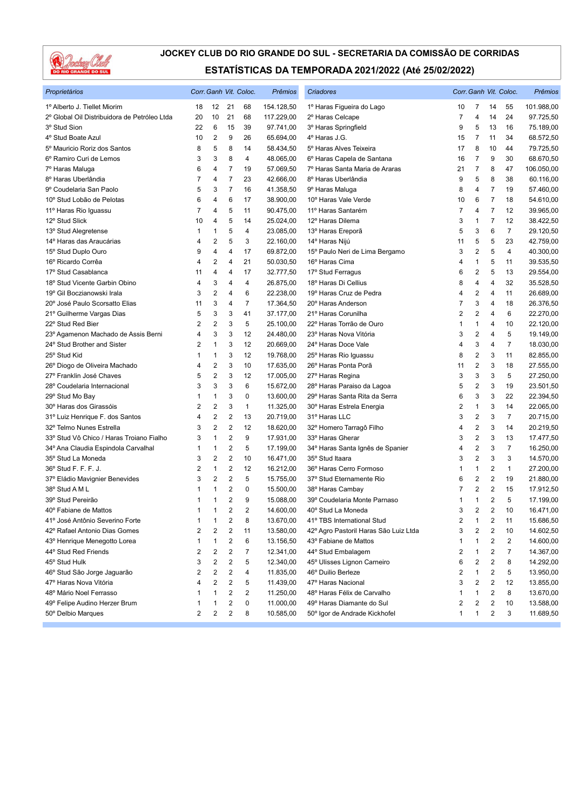

| Proprietários                                |                         |                         |                | Corr. Ganh Vit. Coloc. | Prêmios    | Criadores                             |    |                         |    | Corr. Ganh Vit. Coloc.  | Prêmios    |
|----------------------------------------------|-------------------------|-------------------------|----------------|------------------------|------------|---------------------------------------|----|-------------------------|----|-------------------------|------------|
| 1º Alberto J. Tiellet Miorim                 | 18                      | 12                      | 21             | 68                     | 154.128,50 | 1º Haras Figueira do Lago             | 10 | 7                       | 14 | 55                      | 101.988,00 |
| 2º Global Oil Distribuidora de Petróleo Ltda | 20                      | 10                      | 21             | 68                     | 117.229,00 | 2º Haras Celcape                      | 7  | $\overline{4}$          | 14 | 24                      | 97.725,50  |
| 3º Stud Sion                                 | 22                      | 6                       | 15             | 39                     | 97.741,00  | 3º Haras Springfield                  | 9  | 5                       | 13 | 16                      | 75.189,00  |
| 4° Stud Boate Azul                           | 10                      | 2                       | 9              | 26                     | 65.694,00  | 4º Haras J.G.                         | 15 | 7                       | 11 | 34                      | 68.572,50  |
| 5º Mauricio Roriz dos Santos                 | 8                       | 5                       | 8              | 14                     | 58.434,50  | 5° Haras Alves Teixeira               | 17 | 8                       | 10 | 44                      | 79.725,50  |
| 6º Ramiro Curi de Lemos                      | 3                       | 3                       | 8              | 4                      | 48.065,00  | 6º Haras Capela de Santana            | 16 | 7                       | 9  | 30                      | 68.670,50  |
| 7º Haras Maluga                              | 6                       | 4                       | $\overline{7}$ | 19                     | 57.069,50  | 7º Haras Santa Maria de Araras        | 21 | 7                       | 8  | 47                      | 106.050,00 |
| 8º Haras Uberlândia                          | $\overline{7}$          | 4                       | 7              | 23                     | 42.666,00  | 8º Haras Uberlândia                   | 9  | 5                       | 8  | 38                      | 60.116,00  |
| 9° Coudelaria San Paolo                      | 5                       | 3                       | 7              | 16                     | 41.358,50  | 9º Haras Maluga                       | 8  | 4                       | 7  | 19                      | 57.460,00  |
| 10° Stud Lobão de Pelotas                    | 6                       | 4                       | 6              | 17                     | 38.900,00  | 10° Haras Vale Verde                  | 10 | 6                       | 7  | 18                      | 54.610,00  |
| 11º Haras Rio Iguassu                        | 7                       | 4                       | 5              | 11                     | 90.475,00  | 11º Haras Santarém                    | 7  | 4                       | 7  | 12                      | 39.965,00  |
| 12° Stud Slick                               | 10                      | 4                       | 5              | 14                     | 25.024,00  | 12º Haras Dilema                      | 3  | 1                       | 7  | 12                      | 38.422,50  |
| 13º Stud Alegretense                         | 1                       | 1                       | 5              | 4                      | 23.085,00  | 13º Haras Ereporã                     | 5  | 3                       | 6  | $\overline{7}$          | 29.120,50  |
| 14º Haras das Araucárias                     | 4                       | $\overline{\mathbf{c}}$ | 5              | 3                      | 22.160,00  | 14º Haras Nijú                        | 11 | 5                       | 5  | 23                      | 42.759,00  |
| 15° Stud Duplo Ouro                          | 9                       | 4                       | 4              | 17                     | 69.872,00  | 15º Paulo Neri de Lima Bergamo        | 3  | $\overline{2}$          | 5  | 4                       | 40.300,00  |
| 16º Ricardo Corrêa                           | 4                       | 2                       | 4              | 21                     | 50.030,50  | 16º Haras Cima                        | 4  | $\mathbf{1}$            | 5  | 11                      | 39.535,50  |
| 17º Stud Casablanca                          | 11                      | 4                       | 4              | 17                     | 32.777,50  | 17º Stud Ferragus                     | 6  | $\overline{2}$          | 5  | 13                      | 29.554,00  |
| 18° Stud Vicente Garbin Obino                | 4                       | 3                       | 4              | $\overline{4}$         | 26.875,00  | 18º Haras Di Cellius                  | 8  | $\overline{4}$          | 4  | 32                      | 35.528,50  |
| 19° Gil Boczianowski Irala                   | 3                       | $\overline{2}$          | 4              | 6                      | 22.238,00  | 19º Haras Cruz de Pedra               | 4  | $\overline{2}$          | 4  | 11                      | 26.689,00  |
| 20° José Paulo Scorsatto Elias               | 11                      | 3                       | 4              | $\overline{7}$         | 17.364,50  | 20° Haras Anderson                    | 7  | 3                       | 4  | 18                      | 26.376,50  |
| 21º Guilherme Vargas Dias                    | 5                       | 3                       | 3              | 41                     | 37.177,00  | 21º Haras Corunilha                   | 2  | $\overline{2}$          | 4  | 6                       | 22.270,00  |
| 22° Stud Red Bier                            | 2                       | $\overline{2}$          | 3              | 5                      | 25.100,00  | 22º Haras Torrão de Ouro              | 1  | 1                       | 4  | 10                      | 22.120,00  |
| 23º Agamenon Machado de Assis Berni          | 4                       | 3                       | 3              | 12                     | 24.480,00  | 23º Haras Nova Vitória                | 3  | $\overline{\mathbf{c}}$ | 4  | 5                       | 19.149,00  |
| 24° Stud Brother and Sister                  | 2                       | 1                       | 3              | 12                     | 20.669,00  | 24° Haras Doce Vale                   | 4  | 3                       | 4  | $\overline{7}$          | 18.030,00  |
| 25° Stud Kid                                 | 1                       | $\mathbf{1}$            | 3              | 12                     | 19.768,00  | 25° Haras Rio Iguassu                 | 8  | $\overline{2}$          | 3  | 11                      | 82.855,00  |
| 26º Diogo de Oliveira Machado                | 4                       | $\overline{\mathbf{c}}$ | 3              | 10                     | 17.635,00  | 26° Haras Ponta Porã                  | 11 | $\overline{\mathbf{c}}$ | 3  | 18                      | 27.555,00  |
| 27º Franklin José Chaves                     | 5                       | 2                       | 3              | 12                     | 17.005,00  | 27º Haras Regina                      | 3  | 3                       | 3  | 5                       | 27.250,00  |
| 28º Coudelaria Internacional                 | 3                       | 3                       | 3              | 6                      | 15.672,00  | 28° Haras Paraiso da Lagoa            | 5  | $\overline{\mathbf{c}}$ | 3  | 19                      | 23.501,50  |
| 29° Stud Mo Bay                              | 1                       | 1                       | 3              | 0                      | 13.600,00  | 29º Haras Santa Rita da Serra         | 6  | 3                       | 3  | 22                      | 22.394,50  |
| 30° Haras dos Girassóis                      | 2                       | $\overline{2}$          | 3              | $\mathbf{1}$           | 11.325,00  | 30° Haras Estrela Energia             | 2  | 1                       | 3  | 14                      | 22.065,00  |
| 31º Luiz Henrique F. dos Santos              | 4                       | $\overline{\mathbf{c}}$ | $\overline{c}$ | 13                     | 20.719,00  | 31º Haras LLC                         | 3  | $\overline{\mathbf{c}}$ | 3  | $\overline{7}$          | 20.715,00  |
| 32º Telmo Nunes Estrella                     | 3                       | $\overline{2}$          | $\overline{2}$ | 12                     | 18.620,00  | 32º Homero Tarragô Filho              | 4  | $\overline{\mathbf{c}}$ | 3  | 14                      | 20.219,50  |
| 33º Stud Vô Chico / Haras Troiano Fialho     | 3                       | 1                       | 2              | 9                      | 17.931,00  | 33º Haras Gherar                      | 3  | $\sqrt{2}$              | 3  | 13                      | 17.477,50  |
| 34º Ana Claudia Espindola Carvalhal          | 1                       | 1                       | $\overline{c}$ | 5                      | 17.199,00  | 34º Haras Santa Ignês de Spanier      | 4  | $\sqrt{2}$              | 3  | $\overline{7}$          | 16.250,00  |
| 35° Stud La Moneda                           | 3                       | 2                       | $\overline{c}$ | 10                     | 16.471,00  | 35° Stud Itaara                       | 3  | $\overline{2}$          | 3  | 3                       | 14.570,00  |
| 36° Stud F. F. F. J.                         | 2                       | 1                       | $\overline{c}$ | 12                     | 16.212,00  | 36° Haras Cerro Formoso               | 1  | $\mathbf{1}$            | 2  | $\mathbf{1}$            | 27.200,00  |
| 37º Eládio Mavignier Benevides               | 3                       | 2                       | $\overline{c}$ | 5                      | 15.755,00  | 37º Stud Eternamente Rio              | 6  | $\overline{2}$          | 2  | 19                      | 21.880,00  |
| 38° Stud A M L                               | 1                       | 1                       | $\overline{c}$ | 0                      | 15.500,00  | 38° Haras Cambay                      | 7  | $\overline{2}$          | 2  | 15                      | 17.912,50  |
| 39° Stud Pereirão                            | 1                       |                         | $\overline{c}$ | 9                      | 15.088,00  | 39º Coudelaria Monte Parnaso          | 1  | $\mathbf{1}$            | 2  | 5                       | 17.199,00  |
| 40° Fabiane de Mattos                        | $\mathbf{1}$            | 1                       | $\overline{2}$ | $\overline{c}$         | 14.600,00  | 40° Stud La Moneda                    | 3  | $\overline{2}$          | 2  | 10                      | 16.471,00  |
| 41º José Antônio Severino Forte              | 1                       | 1                       | 2              | 8                      | 13.670,00  | 41º TBS International Stud            | 2  | 1                       | 2  | 11                      | 15.686,50  |
| 42º Rafael Antonio Dias Gomes                | 2                       | 2                       | 2              | 11                     | 13.580,00  | 42º Agro Pastoril Haras São Luiz Ltda | 3  | $\overline{\mathbf{c}}$ | 2  | 10                      | 14.602,50  |
| 43º Henrique Menegotto Lorea                 | 1                       | 1                       | 2              | 6                      | 13.156,50  | 43º Fabiane de Mattos                 | 1  | 1                       | 2  | $\overline{\mathbf{c}}$ | 14.600,00  |
| 44° Stud Red Friends                         | 2                       | $\overline{\mathbf{c}}$ | 2              | 7                      | 12.341,00  | 44° Stud Embalagem                    | 2  | 1                       | 2  | $\overline{7}$          | 14.367,00  |
| 45° Stud Hulk                                | 3                       | 2                       | 2              | 5                      | 12.340,00  | 45° Ulisses Lignon Carneiro           | 6  | $\overline{\mathbf{c}}$ | 2  | 8                       | 14.292,00  |
| 46° Stud São Jorge Jaguarão                  | 2                       | 2                       | 2              | 4                      | 11.835,00  | 46° Duilio Berleze                    | 2  | 1                       | 2  | 5                       | 13.950,00  |
| 47º Haras Nova Vitória                       | 4                       | 2                       | 2              | 5                      | 11.439,00  | 47º Haras Nacional                    | 3  | 2                       | 2  | 12                      | 13.855,00  |
| 48º Mário Noel Ferrasso                      | 1                       | 1                       | 2              | 2                      | 11.250,00  | 48º Haras Félix de Carvalho           | 1  | 1                       | 2  | 8                       | 13.670,00  |
| 49° Felipe Audino Herzer Brum                | 1                       | 1                       | 2              | 0                      | 11.000,00  | 49° Haras Diamante do Sul             | 2  | $\overline{\mathbf{c}}$ | 2  | 10                      | 13.588,00  |
| 50° Delbio Marques                           | $\overline{\mathbf{c}}$ | 2                       | 2              | 8                      | 10.585,00  | 50° Igor de Andrade Kickhofel         | 1  | 1                       | 2  | 3                       | 11.689,50  |
|                                              |                         |                         |                |                        |            |                                       |    |                         |    |                         |            |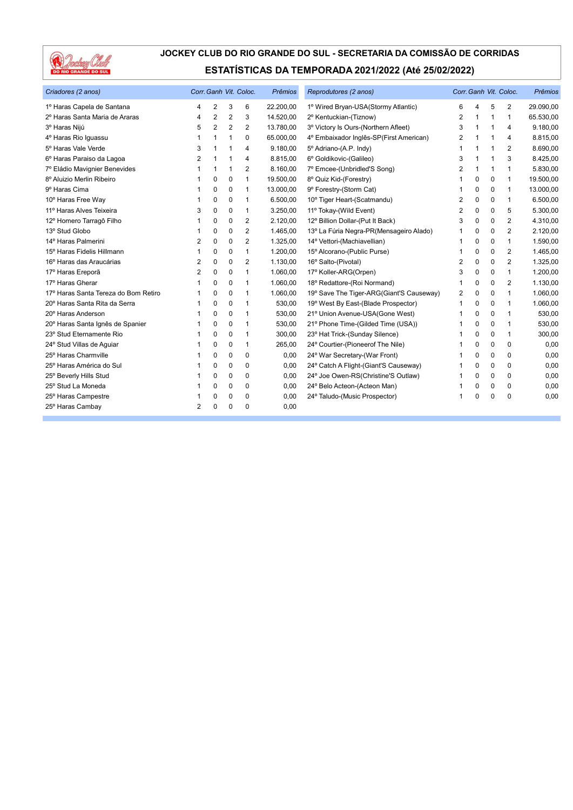

| Criadores (2 anos)                   |   |                |                | Corr. Ganh Vit. Coloc. | <b>Prêmios</b> | Reprodutores (2 anos)                    |   |                |             | Corr. Ganh Vit. Coloc. | Prêmios   |
|--------------------------------------|---|----------------|----------------|------------------------|----------------|------------------------------------------|---|----------------|-------------|------------------------|-----------|
| 1º Haras Capela de Santana           | 4 | 2              | 3              | 6                      | 22.200,00      | 1º Wired Bryan-USA(Stormy Atlantic)      | 6 | $\overline{4}$ | 5           | 2                      | 29.090,00 |
| 2º Haras Santa Maria de Araras       | 4 | $\overline{2}$ | $\overline{2}$ | 3                      | 14.520,00      | 2º Kentuckian-(Tiznow)                   |   | 1              |             | 1                      | 65.530,00 |
| 3º Haras Nijú                        | 5 | $\overline{2}$ | $\overline{2}$ | $\overline{2}$         | 13.780,00      | 3º Victory Is Ours-(Northern Afleet)     | 3 | -1             |             | 4                      | 9.180,00  |
| 4º Haras Rio Iguassu                 | 1 | 1              | 1              | 0                      | 65.000,00      | 4º Embaixador Inglês-SP(First American)  | 2 |                | 1           | 4                      | 8.815,00  |
| 5º Haras Vale Verde                  | 3 |                | 1              | 4                      | 9.180,00       | 5º Adriano-(A.P. Indy)                   | 1 | -1             |             | $\overline{2}$         | 8.690,00  |
| 6º Haras Paraiso da Lagoa            | 2 | 1              | 1              | 4                      | 8.815,00       | 6º Goldikovic-(Galileo)                  | 3 | $\mathbf{1}$   |             | 3                      | 8.425,00  |
| 7º Eládio Mavignier Benevides        |   | 1              | 1              | 2                      | 8.160,00       | 7º Emcee-(Unbridled'S Song)              | 2 | $\mathbf 1$    | 1           | 1                      | 5.830,00  |
| 8º Aluizio Merlin Ribeiro            |   | 0              | 0              | $\mathbf{1}$           | 19.500,00      | 8° Quiz Kid-(Forestry)                   | 1 | 0              | $\mathbf 0$ | $\mathbf{1}$           | 19.500,00 |
| 9º Haras Cima                        |   | 0              | 0              | 1                      | 13.000,00      | 9º Forestry-(Storm Cat)                  | 1 | $\mathbf 0$    | $\Omega$    | $\mathbf{1}$           | 13.000,00 |
| 10° Haras Free Way                   |   | 0              | 0              | 1                      | 6.500,00       | 10° Tiger Heart-(Scatmandu)              | 2 | $\mathbf 0$    | 0           | $\mathbf{1}$           | 6.500,00  |
| 11º Haras Alves Teixeira             | 3 | 0              | 0              | $\mathbf{1}$           | 3.250,00       | 11º Tokay-(Wild Event)                   | 2 | 0              | 0           | 5                      | 5.300,00  |
| 12º Homero Tarragô Filho             |   | 0              | 0              | 2                      | 2.120,00       | 12º Billion Dollar-(Put It Back)         | 3 | $\mathbf 0$    | 0           | $\overline{2}$         | 4.310,00  |
| 13° Stud Globo                       |   | 0              | 0              | $\overline{2}$         | 1.465,00       | 13º La Fúria Negra-PR(Mensageiro Alado)  | 1 | $\mathbf 0$    | $\Omega$    | $\overline{2}$         | 2.120,00  |
| 14º Haras Palmerini                  | 2 | 0              | 0              | $\overline{2}$         | 1.325,00       | 14° Vettori-(Machiavellian)              | 1 | 0              | 0           | 1                      | 1.590,00  |
| 15° Haras Fidelis Hillmann           |   | 0              | 0              | $\mathbf{1}$           | 1.200,00       | 15° Alcorano-(Public Purse)              | 1 | 0              | $\Omega$    | $\overline{2}$         | 1.465,00  |
| 16º Haras das Araucárias             | 2 | 0              | 0              | $\overline{2}$         | 1.130,00       | 16° Salto-(Pivotal)                      | 2 | $\mathbf 0$    | 0           | $\overline{2}$         | 1.325,00  |
| 17º Haras Ereporã                    | 2 | 0              | $\Omega$       | 1                      | 1.060,00       | 17º Koller-ARG(Orpen)                    | 3 | $\Omega$       | $\Omega$    | $\mathbf{1}$           | 1.200,00  |
| 17º Haras Gherar                     |   | 0              | 0              | $\mathbf{1}$           | 1.060,00       | 18º Redattore-(Roi Normand)              | 1 | 0              | $\Omega$    | $\overline{2}$         | 1.130,00  |
| 17º Haras Santa Tereza do Bom Retiro |   | 0              | 0              | 1                      | 1.060,00       | 19° Save The Tiger-ARG(Giant'S Causeway) | 2 | $\mathbf 0$    | 0           | 1                      | 1.060,00  |
| 20° Haras Santa Rita da Serra        |   | 0              | 0              | 1                      | 530,00         | 19° West By East-(Blade Prospector)      | 1 | 0              | $\Omega$    | 1                      | 1.060,00  |
| 20° Haras Anderson                   |   | 0              | 0              | $\mathbf{1}$           | 530,00         | 21º Union Avenue-USA(Gone West)          |   | 0              | $\Omega$    | 1                      | 530,00    |
| 20° Haras Santa Ignês de Spanier     |   | 0              | 0              | 1                      | 530,00         | 21º Phone Time-(Gilded Time (USA))       |   | 0              | $\Omega$    | 1                      | 530,00    |
| 23° Stud Eternamente Rio             |   | 0              | 0              | $\mathbf{1}$           | 300,00         | 23° Hat Trick-(Sunday Silence)           | 1 | 0              | 0           | 1                      | 300,00    |
| 24° Stud Villas de Aguiar            |   | 0              | 0              | $\mathbf{1}$           | 265,00         | 24° Courtier-(Pioneerof The Nile)        |   | $\mathbf 0$    | 0           | 0                      | 0,00      |
| 25° Haras Charmville                 |   | 0              | 0              | 0                      | 0,00           | 24° War Secretary-(War Front)            |   | $\mathbf 0$    | 0           | 0                      | 0,00      |
| 25º Haras América do Sul             |   | 0              | 0              | 0                      | 0,00           | 24° Catch A Flight-(Giant'S Causeway)    | 1 | $\Omega$       | $\Omega$    | $\Omega$               | 0,00      |
| 25° Beverly Hills Stud               |   | 0              | 0              | 0                      | 0,00           | 24° Joe Owen-RS(Christine'S Outlaw)      |   | 0              | 0           | 0                      | 0,00      |
| 25° Stud La Moneda                   |   | 0              | 0              | 0                      | 0,00           | 24° Belo Acteon-(Acteon Man)             |   | 0              | $\Omega$    | $\Omega$               | 0,00      |
| 25° Haras Campestre                  |   | 0              | 0              | 0                      | 0,00           | 24° Taludo-(Music Prospector)            | 1 | $\Omega$       | $\Omega$    | $\Omega$               | 0,00      |
| 25° Haras Cambay                     | 2 | 0              | 0              | $\Omega$               | 0,00           |                                          |   |                |             |                        |           |